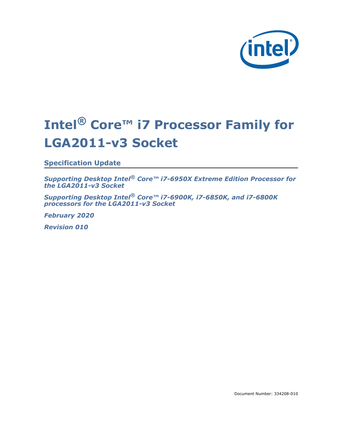

# **Intel® Core™ i7 Processor Family for LGA2011-v3 Socket**

**Specification Update**

*Supporting Desktop Intel® Core™ i7-6950X Extreme Edition Processor for the LGA2011-v3 Socket*

*Supporting Desktop Intel® Core™ i7-6900K, i7-6850K, and i7-6800K processors for the LGA2011-v3 Socket*

*February 2020*

*Revision 010*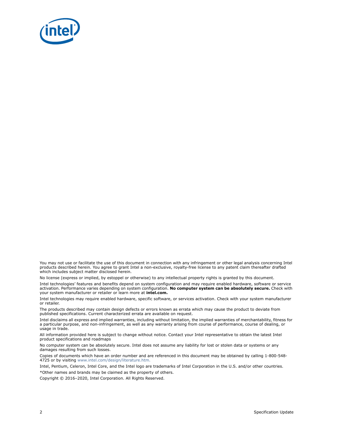

You may not use or facilitate the use of this document in connection with any infringement or other legal analysis concerning Intel products described herein. You agree to grant Intel a non-exclusive, royalty-free license to any patent claim thereafter drafted which includes subject matter disclosed herein.

No license (express or implied, by estoppel or otherwise) to any intellectual property rights is granted by this document.

Intel technologies' features and benefits depend on system configuration and may require enabled hardware, software or service activation. Performance varies depending on system configuration. **No computer system can be absolutely secure.** Check with your system manufacturer or retailer or learn more at **intel.com.**

Intel technologies may require enabled hardware, specific software, or services activation. Check with your system manufacturer or retailer.

The products described may contain design defects or errors known as errata which may cause the product to deviate from published specifications. Current characterized errata are available on request.

Intel disclaims all express and implied warranties, including without limitation, the implied warranties of merchantability, fitness for a particular purpose, and non-infringement, as well as any warranty arising from course of performance, course of dealing, or usage in trade.

All information provided here is subject to change without notice. Contact your Intel representative to obtain the latest Intel product specifications and roadmaps

No computer system can be absolutely secure. Intel does not assume any liability for lost or stolen data or systems or any damages resulting from such losses.

Copies of documents which have an order number and are referenced in this document may be obtained by calling 1-800-548- 4725 or by visiting [www.intel.com/design/literature.htm.](http://www.intel.com/design/literature.htm)

Intel, Pentium, Celeron, Intel Core, and the Intel logo are trademarks of Intel Corporation in the U.S. and/or other countries. \*Other names and brands may be claimed as the property of others.

Copyright © 2016–2020, Intel Corporation. All Rights Reserved.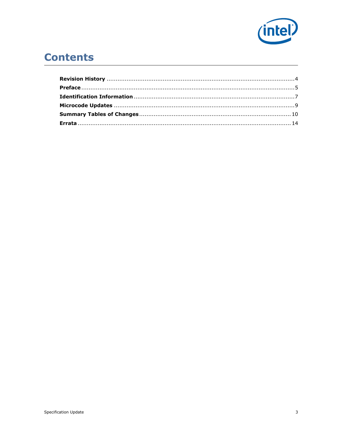

# **Contents**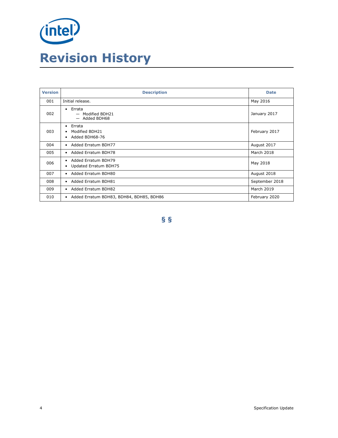<span id="page-3-0"></span>

| <b>Version</b> | <b>Description</b>                                                | <b>Date</b>    |
|----------------|-------------------------------------------------------------------|----------------|
| 001            | Initial release.                                                  | May 2016       |
| 002            | $\bullet$ Errata<br>- Modified BDH21<br>- Added BDH68             | January 2017   |
| 003            | $\bullet$ Errata<br>Modified BDH21<br>Added BDH68-76<br>$\bullet$ | February 2017  |
| 004            | • Added Erratum BDH77                                             | August 2017    |
| 005            | • Added Erratum BDH78                                             | March 2018     |
| 006            | • Added Erratum BDH79<br>• Updated Erratum BDH75                  | May 2018       |
| 007            | • Added Erratum BDH80                                             | August 2018    |
| 008            | • Added Erratum BDH81                                             | September 2018 |
| 009            | • Added Erratum BDH82                                             | March 2019     |
| 010            | • Added Erratum BDH83, BDH84, BDH85, BDH86                        | February 2020  |

**§ §**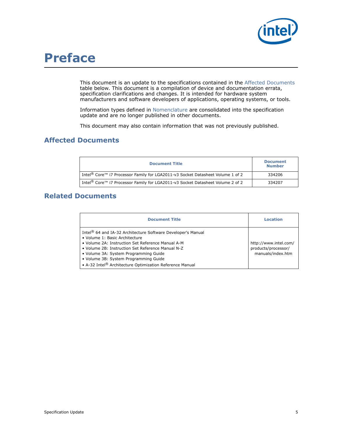

# <span id="page-4-0"></span>**Preface**

This document is an update to the specifications contained in the [Affected Documents](#page-4-1) table below. This document is a compilation of device and documentation errata, specification clarifications and changes. It is intended for hardware system manufacturers and software developers of applications, operating systems, or tools.

Information types defined in [Nomenclature](#page-5-0) are consolidated into the specification update and are no longer published in other documents.

This document may also contain information that was not previously published.

# <span id="page-4-1"></span>**Affected Documents**

| <b>Document Title</b>                                                                                  | <b>Document</b><br><b>Number</b> |
|--------------------------------------------------------------------------------------------------------|----------------------------------|
| Intel <sup>®</sup> Core <sup>™</sup> i7 Processor Family for LGA2011-v3 Socket Datasheet Volume 1 of 2 | 334206                           |
| Intel <sup>®</sup> Core™ i7 Processor Family for LGA2011-v3 Socket Datasheet Volume 2 of 2             | 334207                           |

# **Related Documents**

| <b>Document Title</b>                                                                                                                                                                                                                                                                                                                                                          | Location                                                          |
|--------------------------------------------------------------------------------------------------------------------------------------------------------------------------------------------------------------------------------------------------------------------------------------------------------------------------------------------------------------------------------|-------------------------------------------------------------------|
| Intel <sup>®</sup> 64 and IA-32 Architecture Software Developer's Manual<br>• Volume 1: Basic Architecture<br>• Volume 2A: Instruction Set Reference Manual A-M<br>• Volume 2B: Instruction Set Reference Manual N-Z<br>• Volume 3A: System Programming Guide<br>· Volume 3B: System Programming Guide<br>• A-32 Intel <sup>®</sup> Architecture Optimization Reference Manual | http://www.intel.com/<br>products/processor/<br>manuals/index.htm |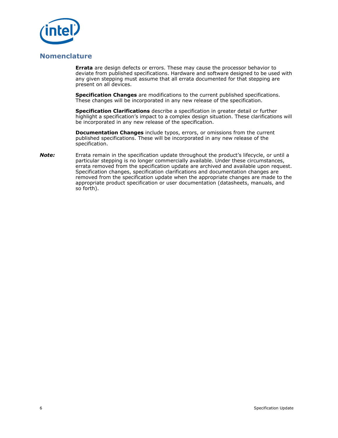

# <span id="page-5-0"></span>**Nomenclature**

**Errata** are design defects or errors. These may cause the processor behavior to deviate from published specifications. Hardware and software designed to be used with any given stepping must assume that all errata documented for that stepping are present on all devices.

**Specification Changes** are modifications to the current published specifications. These changes will be incorporated in any new release of the specification.

**Specification Clarifications** describe a specification in greater detail or further highlight a specification's impact to a complex design situation. These clarifications will be incorporated in any new release of the specification.

**Documentation Changes** include typos, errors, or omissions from the current published specifications. These will be incorporated in any new release of the specification.

*Note:* Errata remain in the specification update throughout the product's lifecycle, or until a particular stepping is no longer commercially available. Under these circumstances, errata removed from the specification update are archived and available upon request. Specification changes, specification clarifications and documentation changes are removed from the specification update when the appropriate changes are made to the appropriate product specification or user documentation (datasheets, manuals, and so forth).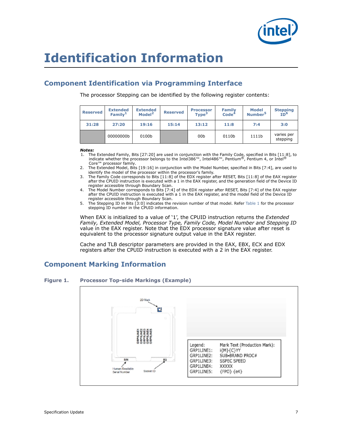

# <span id="page-6-0"></span>**Identification Information**

# **Component Identification via Programming Interface**

The processor Stepping can be identified by the following register contents:

| <b>Reserved</b> | <b>Extended</b><br>Family <sup>1</sup> | <b>Extended</b><br>Model <sup>2</sup> | <b>Reserved</b> | <b>Processor</b><br>Type <sup>3</sup> | <b>Family</b><br>Code <sup>4</sup> | <b>Model</b><br>Number <sup>5</sup> | <b>Stepping</b><br>ID <sup>6</sup> |
|-----------------|----------------------------------------|---------------------------------------|-----------------|---------------------------------------|------------------------------------|-------------------------------------|------------------------------------|
| 31:28           | 27:20                                  | 19:16                                 | 15:14           | 13:12                                 | 11:8                               | 7:4                                 | 3:0                                |
|                 | 00000000b                              | 0100b                                 |                 | 00 <sub>b</sub>                       | 0110b                              | 1111b                               | varies per<br>stepping             |

*Notes:*

- The Extended Family, Bits [27:20] are used in conjunction with the Family Code, specified in Bits  $[11:8]$ , to indicate whether the processor belongs to the Intel386™, Intel486™, Pentium®, Pentium 4, or Intel® Core™ processor family.
- 2. The Extended Model, Bits [19:16] in conjunction with the Model Number, specified in Bits [7:4], are used to identify the model of the processor within the processor's family.
- 3. The Family Code corresponds to Bits [11:8] of the EDX register after RESET, Bits [11:8] of the EAX register after the CPUID instruction is executed with a 1 in the EAX register, and the generation field of the Device ID register accessible through Boundary Scan.
- 4. The Model Number corresponds to Bits [7:4] of the EDX register after RESET, Bits [7:4] of the EAX register after the CPUID instruction is executed with a 1 in the EAX register, and the model field of the Device ID register accessible through Boundary Scan.
- 5. The Stepping ID in Bits [3:0] indicates the revision number of that model. Refer [Table 1](#page-7-0) for the processor stepping ID number in the CPUID information.

When EAX is initialized to a value of '1', the CPUID instruction returns the *Extended Family, Extended Model, Processor Type, Family Code, Model Number and Stepping ID* value in the EAX register. Note that the EDX processor signature value after reset is equivalent to the processor signature output value in the EAX register.

Cache and TLB descriptor parameters are provided in the EAX, EBX, ECX and EDX registers after the CPUID instruction is executed with a 2 in the EAX register.

# **Component Marking Information**

# **Figure 1. Processor Top-side Markings (Example)**

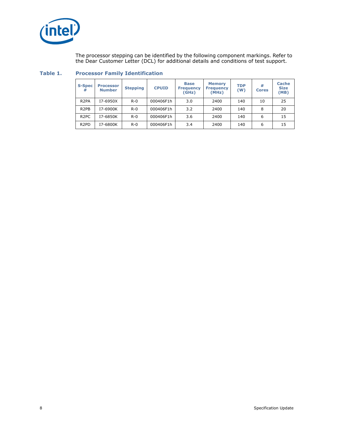

The processor stepping can be identified by the following component markings. Refer to the Dear Customer Letter (DCL) for additional details and conditions of test support.

| <b>S-Spec</b><br>#            | <b>Processor</b><br><b>Number</b> | <b>Stepping</b> | <b>CPUID</b> | <b>Base</b><br><b>Frequency</b><br>(GHz) | <b>Memory</b><br><b>Frequency</b><br>(MHz) | <b>TDP</b><br>(W) | #<br><b>Cores</b> | <b>Cache</b><br><b>Size</b><br>(MB) |
|-------------------------------|-----------------------------------|-----------------|--------------|------------------------------------------|--------------------------------------------|-------------------|-------------------|-------------------------------------|
| R <sub>2</sub> PA             | I7-6950X                          | $R - 0$         | 000406F1h    | 3.0                                      | 2400                                       | 140               | 10                | 25                                  |
| R <sub>2</sub> P <sub>B</sub> | I7-6900K                          | $R - 0$         | 000406F1h    | 3.2                                      | 2400                                       | 140               | 8                 | 20                                  |
| R <sub>2</sub> PC             | I7-6850K                          | $R - 0$         | 000406F1h    | 3.6                                      | 2400                                       | 140               | 6                 | 15                                  |
| R <sub>2</sub> P <sub>D</sub> | I7-6800K                          | $R - 0$         | 000406F1h    | 3.4                                      | 2400                                       | 140               | 6                 | 15                                  |

# <span id="page-7-0"></span>**Table 1. Processor Family Identification**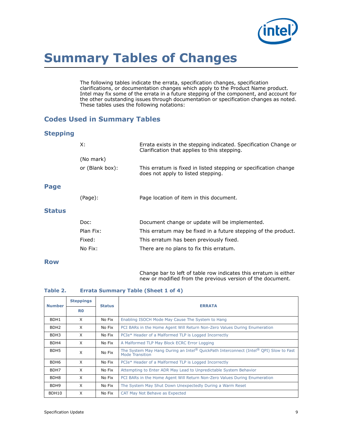

# <span id="page-8-0"></span>**Summary Tables of Changes**

The following tables indicate the errata, specification changes, specification clarifications, or documentation changes which apply to the Product Name product. Intel may fix some of the errata in a future stepping of the component, and account for the other outstanding issues through documentation or specification changes as noted. These tables uses the following notations:

# **Codes Used in Summary Tables**

# **Stepping**

|               | X:              | Errata exists in the stepping indicated. Specification Change or<br>Clarification that applies to this stepping. |
|---------------|-----------------|------------------------------------------------------------------------------------------------------------------|
|               | (No mark)       |                                                                                                                  |
|               | or (Blank box): | This erratum is fixed in listed stepping or specification change<br>does not apply to listed stepping.           |
| Page          |                 |                                                                                                                  |
|               | (Page):         | Page location of item in this document.                                                                          |
| <b>Status</b> |                 |                                                                                                                  |
|               | Doc:            | Document change or update will be implemented.                                                                   |
|               | Plan Fix:       | This erratum may be fixed in a future stepping of the product.                                                   |
|               | Fixed:          | This erratum has been previously fixed.                                                                          |
|               | No Fix:         | There are no plans to fix this erratum.                                                                          |

# **Row**

Change bar to left of table row indicates this erratum is either new or modified from the previous version of the document.

# **Table 2. Errata Summary Table (Sheet 1 of 4)**

| <b>Number</b>    | <b>Steppings</b> | <b>Status</b> | <b>ERRATA</b>                                                                                            |
|------------------|------------------|---------------|----------------------------------------------------------------------------------------------------------|
|                  | R <sub>0</sub>   |               |                                                                                                          |
| BDH1             | X                | No Fix        | Enabling ISOCH Mode May Cause The System to Hang                                                         |
| BDH <sub>2</sub> | X                | No Fix        | PCI BARs in the Home Agent Will Return Non-Zero Values During Enumeration                                |
| BDH3             | X                | No Fix        | PCIe* Header of a Malformed TLP is Logged Incorrectly                                                    |
| BDH4             | X                | No Fix        | A Malformed TLP May Block ECRC Error Logging                                                             |
| BDH <sub>5</sub> | X                | No Fix        | The System May Hang During an Intel® QuickPath Interconnect (Intel® QPI) Slow to Fast<br>Mode Transition |
| BDH <sub>6</sub> | X                | No Fix        | PCIe <sup>*</sup> Header of a Malformed TLP is Logged Incorrectly                                        |
| BDH7             | X                | No Fix        | Attempting to Enter ADR May Lead to Unpredictable System Behavior                                        |
| BDH <sub>8</sub> | X                | No Fix        | PCI BARs in the Home Agent Will Return Non-Zero Values During Enumeration                                |
| BDH <sub>9</sub> | X                | No Fix        | The System May Shut Down Unexpectedly During a Warm Reset                                                |
| BDH10            | X                | No Fix        | CAT May Not Behave as Expected                                                                           |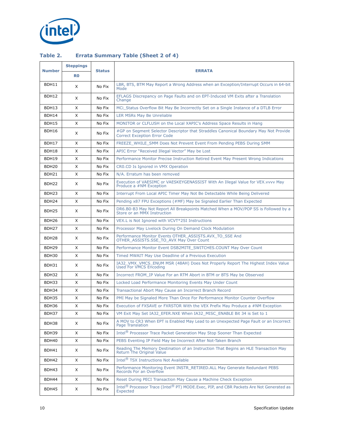

# **Table 2. Errata Summary Table (Sheet 2 of 4)**

|                   | <b>Steppings</b> |               |                                                                                                                                    |
|-------------------|------------------|---------------|------------------------------------------------------------------------------------------------------------------------------------|
| <b>Number</b>     | R <sub>0</sub>   | <b>Status</b> | <b>ERRATA</b>                                                                                                                      |
| BDH11             | X                | No Fix        | LBR, BTS, BTM May Report a Wrong Address when an Exception/Interrupt Occurs in 64-bit<br>Mode                                      |
| BDH12             | X                | No Fix        | EFLAGS Discrepancy on Page Faults and on EPT-Induced VM Exits after a Translation<br>Change                                        |
| BDH13             | X                | No Fix        | MCi_Status Overflow Bit May Be Incorrectly Set on a Single Instance of a DTLB Error                                                |
| BDH14             | X                | No Fix        | LER MSRs May Be Unreliable                                                                                                         |
| BDH15             | X                | No Fix        | MONITOR or CLFLUSH on the Local XAPIC's Address Space Results in Hang                                                              |
| BDH16             | X                | No Fix        | #GP on Segment Selector Descriptor that Straddles Canonical Boundary May Not Provide<br><b>Correct Exception Error Code</b>        |
| BDH17             | X                | No Fix        | FREEZE WHILE SMM Does Not Prevent Event From Pending PEBS During SMM                                                               |
| BDH18             | X                | No Fix        | APIC Error "Received Illegal Vector" May be Lost                                                                                   |
| BDH19             | X                | No Fix        | Performance Monitor Precise Instruction Retired Event May Present Wrong Indications                                                |
| BDH <sub>20</sub> | X                | No Fix        | CRO.CD Is Ignored in VMX Operation                                                                                                 |
| BDH21             | X                | No Fix        | N/A. Erratum has been removed                                                                                                      |
| BDH <sub>22</sub> | X                | No Fix        | Execution of VAESIMC or VAESKEYGENASSIST With An Illegal Value for VEX. vvvv May<br>Produce a #NM Exception                        |
| BDH <sub>23</sub> | X                | No Fix        | Interrupt From Local APIC Timer May Not Be Detectable While Being Delivered                                                        |
| BDH <sub>24</sub> | X                | No Fix        | Pending x87 FPU Exceptions (#MF) May be Signaled Earlier Than Expected                                                             |
| BDH <sub>25</sub> | X                | No Fix        | DR6.B0-B3 May Not Report All Breakpoints Matched When a MOV/POP SS is Followed by a<br>Store or an MMX Instruction                 |
| BDH <sub>26</sub> | X                | No Fix        | VEX.L is Not Ignored with VCVT*2SI Instructions                                                                                    |
| BDH <sub>27</sub> | X                | No Fix        | Processor May Livelock During On Demand Clock Modulation                                                                           |
| BDH <sub>28</sub> | X                | No Fix        | Performance Monitor Events OTHER_ASSISTS.AVX_TO_SSE And<br>OTHER_ASSISTS.SSE_TO_AVX May Over Count                                 |
| BDH <sub>29</sub> | X                | No Fix        | Performance Monitor Event DSB2MITE SWITCHES.COUNT May Over Count                                                                   |
| BDH30             | X                | No Fix        | Timed MWAIT May Use Deadline of a Previous Execution                                                                               |
| BDH31             | X                | No Fix        | IA32 VMX VMCS ENUM MSR (48AH) Does Not Properly Report The Highest Index Value<br>Used For VMCS Encoding                           |
| BDH32             | X                | No Fix        | Incorrect FROM IP Value For an RTM Abort in BTM or BTS May be Observed                                                             |
| BDH33             | X                | No Fix        | Locked Load Performance Monitoring Events May Under Count                                                                          |
| BDH34             | X                | No Fix        | Transactional Abort May Cause an Incorrect Branch Record                                                                           |
| BDH35             | Χ                | No Fix        | PMI May be Signaled More Than Once For Performance Monitor Counter Overflow                                                        |
| BDH36             | X                | No Fix        | Execution of FXSAVE or FXRSTOR With the VEX Prefix May Produce a #NM Exception                                                     |
| BDH37             | X                | No Fix        | VM Exit May Set IA32_EFER.NXE When IA32_MISC_ENABLE Bit 34 is Set to 1                                                             |
| BDH38             | X                | No Fix        | A MOV to CR3 When EPT is Enabled May Lead to an Unexpected Page Fault or an Incorrect<br><b>Page Translation</b>                   |
| BDH39             | X                | No Fix        | Intel <sup>®</sup> Processor Trace Packet Generation May Stop Sooner Than Expected                                                 |
| BDH40             | X                | No Fix        | PEBS Eventing IP Field May be Incorrect After Not-Taken Branch                                                                     |
| BDH41             | X                | No Fix        | Reading The Memory Destination of an Instruction That Begins an HLE Transaction May<br>Return The Original Value                   |
| BDH42             | X                | No Fix        | Intel <sup>®</sup> TSX Instructions Not Available                                                                                  |
| BDH43             | X                | No Fix        | Performance Monitoring Event INSTR_RETIRED.ALL May Generate Redundant PEBS<br>Records For an Overflow                              |
| BDH44             | X                | No Fix        | Reset During PECI Transaction May Cause a Machine Check Exception                                                                  |
| BDH45             | X                | No Fix        | Intel <sup>®</sup> Processor Trace (Intel <sup>®</sup> PT) MODE.Exec, PIP, and CBR Packets Are Not Generated as<br><b>Expected</b> |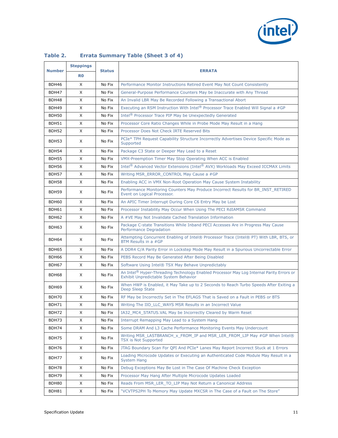

|               | <b>Steppings</b> |               |                                                                                                                                                      |
|---------------|------------------|---------------|------------------------------------------------------------------------------------------------------------------------------------------------------|
| <b>Number</b> | R <sub>0</sub>   | <b>Status</b> | <b>ERRATA</b>                                                                                                                                        |
| BDH46         | X                | No Fix        | Performance Monitor Instructions Retired Event May Not Count Consistently                                                                            |
| BDH47         | X                | No Fix        | General-Purpose Performance Counters May be Inaccurate with Any Thread                                                                               |
| BDH48         | X                | No Fix        | An Invalid LBR May Be Recorded Following a Transactional Abort                                                                                       |
| BDH49         | X                | No Fix        | Executing an RSM Instruction With Intel® Processor Trace Enabled Will Signal a #GP                                                                   |
| BDH50         | X                | No Fix        | Intel <sup>®</sup> Processor Trace PIP May be Unexpectedly Generated                                                                                 |
| BDH51         | X                | No Fix        | Processor Core Ratio Changes While in Probe Mode May Result in a Hang                                                                                |
| BDH52         | X                | No Fix        | Processor Does Not Check IRTE Reserved Bits                                                                                                          |
| BDH53         | X                | No Fix        | PCIe* TPH Request Capability Structure Incorrectly Advertises Device Specific Mode as<br>Supported                                                   |
| BDH54         | X                | No Fix        | Package C3 State or Deeper May Lead to a Reset                                                                                                       |
| BDH55         | X                | No Fix        | VMX-Preemption Timer May Stop Operating When ACC is Enabled                                                                                          |
| BDH56         | X                | No Fix        | Intel <sup>®</sup> Advanced Vector Extensions (Intel® AVX) Workloads May Exceed ICCMAX Limits                                                        |
| BDH57         | X                | No Fix        | Writing MSR_ERROR_CONTROL May Cause a #GP                                                                                                            |
| BDH58         | X                | No Fix        | Enabling ACC in VMX Non-Root Operation May Cause System Instability                                                                                  |
| BDH59         | X                | No Fix        | Performance Monitoring Counters May Produce Incorrect Results for BR_INST_RETIRED<br>Event on Logical Processor.                                     |
| BDH60         | X                | No Fix        | An APIC Timer Interrupt During Core C6 Entry May be Lost                                                                                             |
| BDH61         | X                | No Fix        | Processor Instability May Occur When Using The PECI RdIAMSR Command                                                                                  |
| BDH62         | X                | No Fix        | A #VE May Not Invalidate Cached Translation Information                                                                                              |
| BDH63         | X                | No Fix        | Package C-state Transitions While Inband PECI Accesses Are in Progress May Cause<br><b>Performance Degradation</b>                                   |
| BDH64         | X                | No Fix        | Attempting Concurrent Enabling of Intel® Processor Trace (Intel® PT) With LBR, BTS, or<br>BTM Results in a #GP                                       |
| BDH65         | X                | No Fix        | A DDR4 C/A Parity Error in Lockstep Mode May Result in a Spurious Uncorrectable Error                                                                |
| BDH66         | X                | No Fix        | PEBS Record May Be Generated After Being Disabled                                                                                                    |
| BDH67         | X                | No Fix        | Software Using Intel® TSX May Behave Unpredictably                                                                                                   |
| BDH68         | X                | No Fix        | An Intel <sup>®</sup> Hyper-Threading Technology Enabled Processor May Log Internal Parity Errors or<br><b>Exhibit Unpredictable System Behavior</b> |
| BDH69         | X                | No Fix        | When HWP is Enabled, it May Take up to 2 Seconds to Reach Turbo Speeds After Exiting a<br>Deep Sleep State                                           |
| BDH70         | X                | No Fix        | RF May be Incorrectly Set in The EFLAGS That is Saved on a Fault in PEBS or BTS                                                                      |
| BDH71         | X                | No Fix        | Writing The IIO_LLC_WAYS MSR Results in an Incorrect Value                                                                                           |
| BDH72         | X                | No Fix        | IA32 MC4 STATUS. VAL May be Incorrectly Cleared by Warm Reset                                                                                        |
| BDH73         | X                | No Fix        | Interrupt Remapping May Lead to a System Hang                                                                                                        |
| BDH74         | X                | No Fix        | Some DRAM And L3 Cache Performance Monitoring Events May Undercount                                                                                  |
| BDH75         | X                | No Fix        | Writing MSR_LASTBRANCH_x_FROM_IP and MSR_LER_FROM_LIP May #GP When Intel®<br><b>TSX is Not Supported</b>                                             |
| BDH76         | X                | No Fix        | JTAG Boundary Scan For QPI And PCIe* Lanes May Report Incorrect Stuck at 1 Errors                                                                    |
| BDH77         | X                | No Fix        | Loading Microcode Updates or Executing an Authenticated Code Module May Result in a<br><b>System Hang</b>                                            |
| BDH78         | X                | No Fix        | Debug Exceptions May Be Lost in The Case Of Machine Check Exception                                                                                  |
| BDH79         | X                | No Fix        | Processor May Hang After Multiple Microcode Updates Loaded                                                                                           |
| BDH80         | X                | No Fix        | Reads From MSR_LER_TO_LIP May Not Return a Canonical Address                                                                                         |
| BDH81         | X                | No Fix        | "VCVTPS2PH To Memory May Update MXCSR in The Case of a Fault on The Store"                                                                           |

# **Table 2. Errata Summary Table (Sheet 3 of 4)**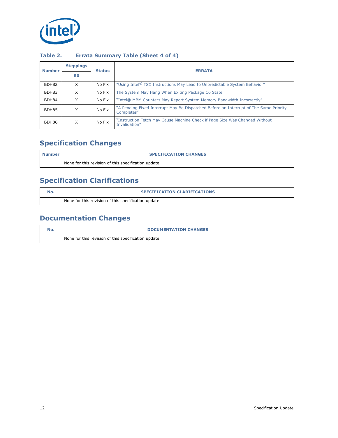

| <b>Number</b> | <b>Steppings</b> | <b>Status</b> | <b>ERRATA</b>                                                                                       |
|---------------|------------------|---------------|-----------------------------------------------------------------------------------------------------|
|               | R <sub>0</sub>   |               |                                                                                                     |
| BDH82         | X                | No Fix        | "Using Intel® TSX Instructions May Lead to Unpredictable System Behavior"                           |
| BDH83         | X                | No Fix        | The System May Hang When Exiting Package C6 State                                                   |
| BDH84         | X                | No Fix        | "Intel® MBM Counters May Report System Memory Bandwidth Incorrectly"                                |
| BDH85         | X                | No Fix        | "A Pending Fixed Interrupt May Be Dispatched Before an Interrupt of The Same Priority<br>Completes" |
| BDH86         | x                | No Fix        | "Instruction Fetch May Cause Machine Check if Page Size Was Changed Without<br>Invalidation"        |

# **Table 2. Errata Summary Table (Sheet 4 of 4)**

# **Specification Changes**

| l Number | <b>SPECIFICATION CHANGES</b>                         |
|----------|------------------------------------------------------|
|          | None for this revision of this specification update. |

# **Specification Clarifications**

| <b>SPECIFICATION CLARIFICATIONS</b>                  |
|------------------------------------------------------|
| None for this revision of this specification update. |

# **Documentation Changes**

| <b>DOCUMENTATION CHANGES</b>                         |
|------------------------------------------------------|
| None for this revision of this specification update. |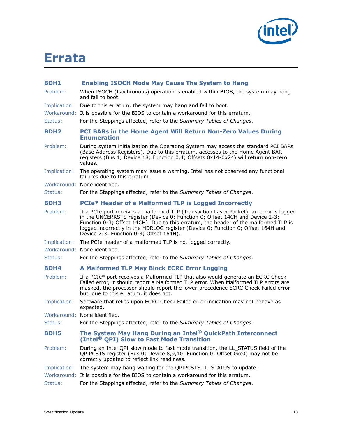

# <span id="page-12-0"></span>**Errata**

<span id="page-12-5"></span><span id="page-12-4"></span><span id="page-12-3"></span><span id="page-12-2"></span><span id="page-12-1"></span>

| <b>BDH1</b>  | <b>Enabling ISOCH Mode May Cause The System to Hang</b>                                                                                                                                                                                                                                                                                                                                      |
|--------------|----------------------------------------------------------------------------------------------------------------------------------------------------------------------------------------------------------------------------------------------------------------------------------------------------------------------------------------------------------------------------------------------|
| Problem:     | When ISOCH (Isochronous) operation is enabled within BIOS, the system may hang<br>and fail to boot.                                                                                                                                                                                                                                                                                          |
| Implication: | Due to this erratum, the system may hang and fail to boot.                                                                                                                                                                                                                                                                                                                                   |
|              | Workaround: It is possible for the BIOS to contain a workaround for this erratum.                                                                                                                                                                                                                                                                                                            |
| Status:      | For the Steppings affected, refer to the Summary Tables of Changes.                                                                                                                                                                                                                                                                                                                          |
| <b>BDH2</b>  | <b>PCI BARs in the Home Agent Will Return Non-Zero Values During</b><br><b>Enumeration</b>                                                                                                                                                                                                                                                                                                   |
| Problem:     | During system initialization the Operating System may access the standard PCI BARs<br>(Base Address Registers). Due to this erratum, accesses to the Home Agent BAR<br>registers (Bus 1; Device 18; Function 0,4; Offsets 0x14-0x24) will return non-zero<br>values.                                                                                                                         |
| Implication: | The operating system may issue a warning. Intel has not observed any functional<br>failures due to this erratum.                                                                                                                                                                                                                                                                             |
|              | Workaround: None identified.                                                                                                                                                                                                                                                                                                                                                                 |
| Status:      | For the Steppings affected, refer to the Summary Tables of Changes.                                                                                                                                                                                                                                                                                                                          |
| <b>BDH3</b>  | <b>PCIe* Header of a Malformed TLP is Logged Incorrectly</b>                                                                                                                                                                                                                                                                                                                                 |
| Problem:     | If a PCIe port receives a malformed TLP (Transaction Layer Packet), an error is logged<br>in the UNCERRSTS register (Device 0; Function 0; Offset 14CH and Device 2-3;<br>Function 0-3; Offset 14CH). Due to this erratum, the header of the malformed TLP is<br>logged incorrectly in the HDRLOG register (Device 0; Function 0; Offset 164H and<br>Device 2-3; Function 0-3; Offset 164H). |
| Implication: | The PCIe header of a malformed TLP is not logged correctly.                                                                                                                                                                                                                                                                                                                                  |
|              | Workaround: None identified.                                                                                                                                                                                                                                                                                                                                                                 |
| Status:      | For the Steppings affected, refer to the Summary Tables of Changes.                                                                                                                                                                                                                                                                                                                          |
| <b>BDH4</b>  | <b>A Malformed TLP May Block ECRC Error Logging</b>                                                                                                                                                                                                                                                                                                                                          |
| Problem:     | If a PCIe* port receives a Malformed TLP that also would generate an ECRC Check<br>Failed error, it should report a Malformed TLP error. When Malformed TLP errors are<br>masked, the processor should report the lower-precedence ECRC Check Failed error<br>but, due to this erratum, it does not.                                                                                         |
| Implication: | Software that relies upon ECRC Check Failed error indication may not behave as<br>expected.                                                                                                                                                                                                                                                                                                  |
|              | Workaround: None identified.                                                                                                                                                                                                                                                                                                                                                                 |
| Status:      | For the Steppings affected, refer to the Summary Tables of Changes.                                                                                                                                                                                                                                                                                                                          |
| <b>BDH5</b>  | The System May Hang During an Intel <sup>®</sup> QuickPath Interconnect<br>(Intel <sup>®</sup> QPI) Slow to Fast Mode Transition                                                                                                                                                                                                                                                             |
| Problem:     | During an Intel QPI slow mode to fast mode transition, the LL_STATUS field of the<br>QPIPCSTS register (Bus 0; Device 8,9,10; Function 0; Offset 0xc0) may not be<br>correctly updated to reflect link readiness.                                                                                                                                                                            |
| Implication: | The system may hang waiting for the QPIPCSTS.LL_STATUS to update.                                                                                                                                                                                                                                                                                                                            |
|              | Workaround: It is possible for the BIOS to contain a workaround for this erratum.                                                                                                                                                                                                                                                                                                            |
| Status:      | For the Steppings affected, refer to the Summary Tables of Changes.                                                                                                                                                                                                                                                                                                                          |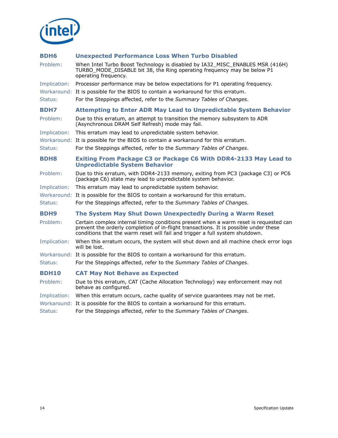

<span id="page-13-2"></span><span id="page-13-1"></span><span id="page-13-0"></span>

| <b>BDH6</b>  | <b>Unexpected Performance Loss When Turbo Disabled</b>                                                                                                                                                                                                        |
|--------------|---------------------------------------------------------------------------------------------------------------------------------------------------------------------------------------------------------------------------------------------------------------|
| Problem:     | When Intel Turbo Boost Technology is disabled by IA32_MISC_ENABLES MSR (416H)<br>TURBO_MODE_DISABLE bit 38, the Ring operating frequency may be below P1<br>operating frequency.                                                                              |
| Implication: | Processor performance may be below expectations for P1 operating frequency.                                                                                                                                                                                   |
|              | Workaround: It is possible for the BIOS to contain a workaround for this erratum.                                                                                                                                                                             |
| Status:      | For the Steppings affected, refer to the Summary Tables of Changes.                                                                                                                                                                                           |
| <b>BDH7</b>  | <b>Attempting to Enter ADR May Lead to Unpredictable System Behavior</b>                                                                                                                                                                                      |
| Problem:     | Due to this erratum, an attempt to transition the memory subsystem to ADR<br>(Asynchronous DRAM Self Refresh) mode may fail.                                                                                                                                  |
| Implication: | This erratum may lead to unpredictable system behavior.                                                                                                                                                                                                       |
|              | Workaround: It is possible for the BIOS to contain a workaround for this erratum.                                                                                                                                                                             |
| Status:      | For the Steppings affected, refer to the Summary Tables of Changes.                                                                                                                                                                                           |
| <b>BDH8</b>  | Exiting From Package C3 or Package C6 With DDR4-2133 May Lead to<br><b>Unpredictable System Behavior</b>                                                                                                                                                      |
| Problem:     | Due to this erratum, with DDR4-2133 memory, exiting from PC3 (package C3) or PC6<br>(package C6) state may lead to unpredictable system behavior.                                                                                                             |
| Implication: | This erratum may lead to unpredictable system behavior.                                                                                                                                                                                                       |
|              | Workaround: It is possible for the BIOS to contain a workaround for this erratum.                                                                                                                                                                             |
| Status:      | For the Steppings affected, refer to the Summary Tables of Changes.                                                                                                                                                                                           |
| <b>BDH9</b>  | The System May Shut Down Unexpectedly During a Warm Reset                                                                                                                                                                                                     |
| Problem:     | Certain complex internal timing conditions present when a warm reset is requested can<br>prevent the orderly completion of in-flight transactions. It is possible under these<br>conditions that the warm reset will fail and trigger a full system shutdown. |
| Implication: | When this erratum occurs, the system will shut down and all machine check error logs<br>will be lost.                                                                                                                                                         |
|              | Workaround: It is possible for the BIOS to contain a workaround for this erratum.                                                                                                                                                                             |
| Status:      | For the Steppings affected, refer to the Summary Tables of Changes.                                                                                                                                                                                           |
| <b>BDH10</b> | <b>CAT May Not Behave as Expected</b>                                                                                                                                                                                                                         |
| Problem:     | Due to this erratum, CAT (Cache Allocation Technology) way enforcement may not<br>behave as configured.                                                                                                                                                       |
| Implication: | When this erratum occurs, cache quality of service quarantees may not be met.                                                                                                                                                                                 |
|              | Workaround: It is possible for the BIOS to contain a workaround for this erratum.                                                                                                                                                                             |
| Status:      | For the Steppings affected, refer to the Summary Tables of Changes.                                                                                                                                                                                           |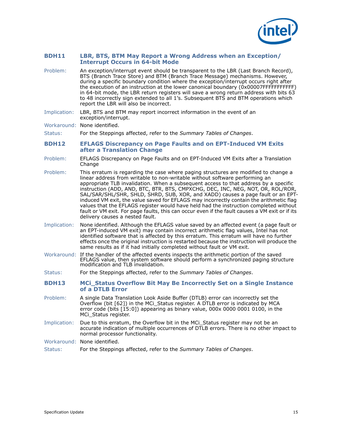

## <span id="page-14-0"></span>**BDH11 LBR, BTS, BTM May Report a Wrong Address when an Exception/ Interrupt Occurs in 64-bit Mode**

- Problem: An exception/interrupt event should be transparent to the LBR (Last Branch Record), BTS (Branch Trace Store) and BTM (Branch Trace Message) mechanisms. However, during a specific boundary condition where the exception/interrupt occurs right after the execution of an instruction at the lower canonical boundary (0x00007FFFFFFFFFFF) in 64-bit mode, the LBR return registers will save a wrong return address with bits  $63$ to 48 incorrectly sign extended to all 1's. Subsequent BTS and BTM operations which report the LBR will also be incorrect.
- Implication: LBR, BTS and BTM may report incorrect information in the event of an exception/interrupt.

Workaround: None identified.

Status: For the Steppings affected, refer to the *Summary Tables of Changes*.

## <span id="page-14-1"></span>**BDH12 EFLAGS Discrepancy on Page Faults and on EPT-Induced VM Exits after a Translation Change**

- Problem: EFLAGS Discrepancy on Page Faults and on EPT-Induced VM Exits after a Translation Change
- Problem: This erratum is regarding the case where paging structures are modified to change a linear address from writable to non-writable without software performing an appropriate TLB invalidation. When a subsequent access to that address by a specific instruction (ADD, AND, BTC, BTR, BTS, CMPXCHG, DEC, INC, NEG, NOT, OR, ROL/ROR, SAL/SAR/SHL/SHR, SHLD, SHRD, SUB, XOR, and XADD) causes a page fault or an EPTinduced VM exit, the value saved for EFLAGS may incorrectly contain the arithmetic flag values that the EFLAGS register would have held had the instruction completed without fault or VM exit. For page faults, this can occur even if the fault causes a VM exit or if its delivery causes a nested fault.
- Implication: None identified. Although the EFLAGS value saved by an affected event (a page fault or an EPT-induced VM exit) may contain incorrect arithmetic flag values, Intel has not identified software that is affected by this erratum. This erratum will have no further effects once the original instruction is restarted because the instruction will produce the same results as if it had initially completed without fault or VM exit.
- Workaround: If the handler of the affected events inspects the arithmetic portion of the saved EFLAGS value, then system software should perform a synchronized paging structure modification and TLB invalidation.
- Status: For the Steppings affected, refer to the *Summary Tables of Changes*.
- <span id="page-14-2"></span>**BDH13 MCi\_Status Overflow Bit May Be Incorrectly Set on a Single Instance of a DTLB Error**
- Problem: A single Data Translation Look Aside Buffer (DTLB) error can incorrectly set the Overflow (bit [62]) in the MCi\_Status register. A DTLB error is indicated by MCA error code (bits [15:0]) appearing as binary value, 000x 0000 0001 0100, in the MCi\_Status register.
- Implication: Due to this erratum, the Overflow bit in the MCi\_Status register may not be an accurate indication of multiple occurrences of DTLB errors. There is no other impact to normal processor functionality.
- Workaround: None identified.
- Status: For the Steppings affected, refer to the *Summary Tables of Changes*.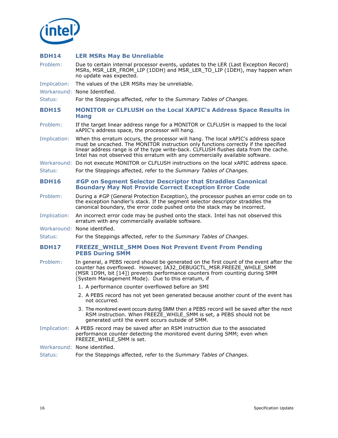

# <span id="page-15-0"></span>**BDH14 LER MSRs May Be Unreliable**

Problem: Due to certain internal processor events, updates to the LER (Last Exception Record) MSRs, MSR\_LER\_FROM\_LIP (1DDH) and MSR\_LER\_TO\_LIP (1DEH), may happen when no update was expected.

Implication: The values of the LER MSRs may be unreliable.

Workaround: None Identified.

Status: For the Steppings affected, refer to the *Summary Tables of Changes*.

- <span id="page-15-1"></span>**BDH15 MONITOR or CLFLUSH on the Local XAPIC's Address Space Results in Hang**
- Problem: If the target linear address range for a MONITOR or CLFLUSH is mapped to the local xAPIC's address space, the processor will hang.
- Implication: When this erratum occurs, the processor will hang. The local xAPIC's address space must be uncached. The MONITOR instruction only functions correctly if the specified linear address range is of the type write-back. CLFLUSH flushes data from the cache. Intel has not observed this erratum with any commercially available software.
- Workaround: Do not execute MONITOR or CLFLUSH instructions on the local xAPIC address space.
- Status: For the Steppings affected, refer to the *Summary Tables of Changes*.

# <span id="page-15-2"></span>**BDH16 #GP on Segment Selector Descriptor that Straddles Canonical Boundary May Not Provide Correct Exception Error Code**

- Problem: During a #GP (General Protection Exception), the processor pushes an error code on to the exception handler's stack. If the segment selector descriptor straddles the canonical boundary, the error code pushed onto the stack may be incorrect.
- Implication: An incorrect error code may be pushed onto the stack. Intel has not observed this erratum with any commercially available software.
- Workaround: None identified.
- Status: For the Steppings affected, refer to the *Summary Tables of Changes*.

## <span id="page-15-3"></span>**BDH17 FREEZE\_WHILE\_SMM Does Not Prevent Event From Pending PEBS During SMM**

- Problem: In general, a PEBS record should be generated on the first count of the event after the counter has overflowed. However, IA32\_DEBUGCTL\_MSR.FREEZE\_WHILE\_SMM (MSR 1D9H, bit [14]) prevents performance counters from counting during SMM (System Management Mode). Due to this erratum, if
	- 1. A performance counter overflowed before an SMI
	- 2. A PEBS record has not yet been generated because another count of the event has not occurred.
	- 3. The monitored event occurs during SMM then a PEBS record will be saved after the next RSM instruction. When FREEZE\_WHILE\_SMM is set, a PEBS should not be generated until the event occurs outside of SMM.
- Implication: A PEBS record may be saved after an RSM instruction due to the associated performance counter detecting the monitored event during SMM; even when FREEZE\_WHILE\_SMM is set.
- Workaround: None identified.
- Status: For the Steppings affected, refer to the *Summary Tables of Changes*.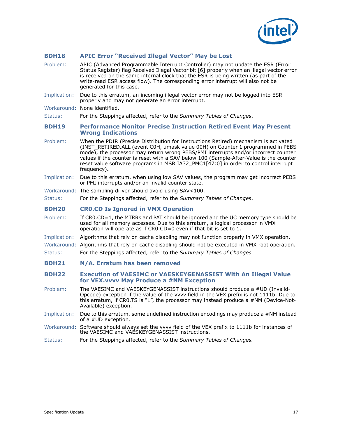

# <span id="page-16-0"></span>**BDH18 APIC Error "Received Illegal Vector" May be Lost**

<span id="page-16-4"></span><span id="page-16-3"></span><span id="page-16-2"></span><span id="page-16-1"></span>

| Problem:     | APIC (Advanced Programmable Interrupt Controller) may not update the ESR (Error<br>Status Register) flag Received Illegal Vector bit [6] properly when an illegal vector error<br>is received on the same internal clock that the ESR is being written (as part of the<br>write-read ESR access flow). The corresponding error interrupt will also not be<br>generated for this case.                                                                       |
|--------------|-------------------------------------------------------------------------------------------------------------------------------------------------------------------------------------------------------------------------------------------------------------------------------------------------------------------------------------------------------------------------------------------------------------------------------------------------------------|
| Implication: | Due to this erratum, an incoming illegal vector error may not be logged into ESR<br>properly and may not generate an error interrupt.                                                                                                                                                                                                                                                                                                                       |
|              | Workaround: None identified.                                                                                                                                                                                                                                                                                                                                                                                                                                |
| Status:      | For the Steppings affected, refer to the Summary Tables of Changes.                                                                                                                                                                                                                                                                                                                                                                                         |
| <b>BDH19</b> | <b>Performance Monitor Precise Instruction Retired Event May Present</b><br><b>Wrong Indications</b>                                                                                                                                                                                                                                                                                                                                                        |
| Problem:     | When the PDIR (Precise Distribution for Instructions Retired) mechanism is activated<br>(INST_RETIRED.ALL (event C0H, umask value 00H) on Counter 1 programmed in PEBS<br>mode), the processor may return wrong PEBS/PMI interrupts and/or incorrect counter<br>values if the counter is reset with a SAV below 100 (Sample-After-Value is the counter<br>reset value software programs in MSR IA32 PMC1[47:0] in order to control interrupt<br>frequency). |
| Implication: | Due to this erratum, when using low SAV values, the program may get incorrect PEBS<br>or PMI interrupts and/or an invalid counter state.                                                                                                                                                                                                                                                                                                                    |
|              | Workaround: The sampling driver should avoid using SAV<100.                                                                                                                                                                                                                                                                                                                                                                                                 |
| Status:      | For the Steppings affected, refer to the Summary Tables of Changes.                                                                                                                                                                                                                                                                                                                                                                                         |
|              |                                                                                                                                                                                                                                                                                                                                                                                                                                                             |
| <b>BDH20</b> | <b>CRO.CD Is Ignored in VMX Operation</b>                                                                                                                                                                                                                                                                                                                                                                                                                   |
| Problem:     | If CR0.CD=1, the MTRRs and PAT should be ignored and the UC memory type should be<br>used for all memory accesses. Due to this erratum, a logical processor in VMX<br>operation will operate as if CRO.CD=0 even if that bit is set to 1.                                                                                                                                                                                                                   |
| Implication: | Algorithms that rely on cache disabling may not function properly in VMX operation.                                                                                                                                                                                                                                                                                                                                                                         |
|              | Workaround: Algorithms that rely on cache disabling should not be executed in VMX root operation.                                                                                                                                                                                                                                                                                                                                                           |
| Status:      | For the Steppings affected, refer to the Summary Tables of Changes.                                                                                                                                                                                                                                                                                                                                                                                         |
| <b>BDH21</b> | N/A. Erratum has been removed                                                                                                                                                                                                                                                                                                                                                                                                                               |
| <b>BDH22</b> | <b>Execution of VAESIMC or VAESKEYGENASSIST With An Illegal Value</b><br>for VEX. vvvv May Produce a #NM Exception                                                                                                                                                                                                                                                                                                                                          |
| Problem:     | The VAESIMC and VAESKEYGENASSIST instructions should produce a #UD (Invalid-<br>Opcode) exception if the value of the vvvv field in the VEX prefix is not 1111b. Due to<br>this erratum, if CR0.TS is "1", the processor may instead produce a #NM (Device-Not-<br>Available) exception.                                                                                                                                                                    |
| Implication: | Due to this erratum, some undefined instruction encodings may produce a #NM instead<br>of a #UD exception.                                                                                                                                                                                                                                                                                                                                                  |
|              | Workaround: Software should always set the vvvv field of the VEX prefix to 1111b for instances of<br>the VAESIMC and VAESKEYGENASSIST instructions.                                                                                                                                                                                                                                                                                                         |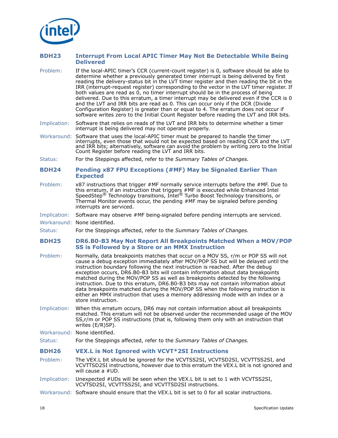

# <span id="page-17-0"></span>**BDH23 Interrupt From Local APIC Timer May Not Be Detectable While Being Delivered**

- Problem: If the local-APIC timer's CCR (current-count register) is 0, software should be able to determine whether a previously generated timer interrupt is being delivered by first reading the delivery-status bit in the LVT timer register and then reading the bit in the IRR (interrupt-request register) corresponding to the vector in the LVT timer register. If both values are read as 0, no timer interrupt should be in the process of being delivered. Due to this erratum, a timer interrupt may be delivered even if the CCR is 0 and the LVT and IRR bits are read as 0. This can occur only if the DCR (Divide Configuration Register) is greater than or equal to 4. The erratum does not occur if software writes zero to the Initial Count Register before reading the LVT and IRR bits.
- Implication: Software that relies on reads of the LVT and IRR bits to determine whether a timer interrupt is being delivered may not operate properly.
- Workaround: Software that uses the local-APIC timer must be prepared to handle the timer interrupts, even those that would not be expected based on reading CCR and the LVT and IRR bits; alternatively, software can avoid the problem by writing zero to the Initial Count Register before reading the LVT and IRR bits.
- Status: For the Steppings affected, refer to the *Summary Tables of Changes.*

## <span id="page-17-1"></span>**BDH24 Pending x87 FPU Exceptions (#MF) May be Signaled Earlier Than Expected**

Problem: x87 instructions that trigger #MF normally service interrupts before the #MF. Due to this erratum, if an instruction that triggers #MF is executed while Enhanced Intel<br>SpeedStep® Technology transitions, Intel® Turbo Boost Technology transitions, or Thermal Monitor events occur, the pending #MF may be signaled before pending interrupts are serviced.

#### Implication: Software may observe #MF being-signaled before pending interrupts are serviced.

- Workaround: None identified.
- Status: For the Steppings affected, refer to the *Summary Tables of Changes.*

#### <span id="page-17-2"></span>**BDH25 DR6.B0-B3 May Not Report All Breakpoints Matched When a MOV/POP SS is Followed by a Store or an MMX Instruction**

- Problem: Normally, data breakpoints matches that occur on a MOV SS, r/m or POP SS will not cause a debug exception immediately after MOV/POP SS but will be delayed until the instruction boundary following the next instruction is reached. After the debug exception occurs, DR6.B0-B3 bits will contain information about data breakpoints matched during the MOV/POP SS as well as breakpoints detected by the following instruction. Due to this erratum, DR6.B0-B3 bits may not contain information about data breakpoints matched during the MOV/POP SS when the following instruction is either an MMX instruction that uses a memory addressing mode with an index or a store instruction.
- Implication: When this erratum occurs, DR6 may not contain information about all breakpoints matched. This erratum will not be observed under the recommended usage of the MOV SS,r/m or POP SS instructions (that is, following them only with an instruction that writes (E/R)SP).

Workaround: None identified.

Status: For the Steppings affected, refer to the *Summary Tables of Changes.*

## <span id="page-17-3"></span>**BDH26 VEX.L is Not Ignored with VCVT\*2SI Instructions**

- Problem: The VEX.L bit should be ignored for the VCVTSS2SI, VCVTSD2SI, VCVTTSS2SI, and VCVTTSD2SI instructions, however due to this erratum the VEX.L bit is not ignored and will cause a #UD.
- Implication: Unexpected #UDs will be seen when the VEX.L bit is set to 1 with VCVTSS2SI, VCVTSD2SI, VCVTTSS2SI, and VCVTTSD2SI instructions.
- Workaround: Software should ensure that the VEX.L bit is set to 0 for all scalar instructions.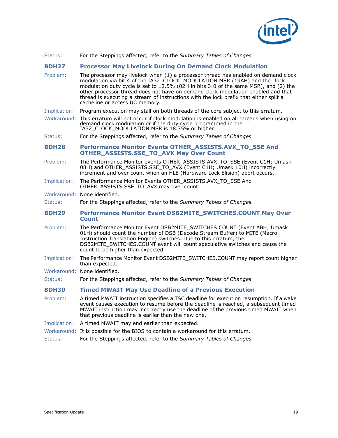

Status: For the Steppings affected, refer to the *Summary Tables of Changes.*

# <span id="page-18-0"></span>**BDH27 Processor May Livelock During On Demand Clock Modulation**

- Problem: The processor may livelock when (1) a processor thread has enabled on demand clock modulation via bit 4 of the IA32\_CLOCK\_MODULATION MSR (19AH) and the clock modulation duty cycle is set to 12.5% (02H in bits 3:0 of the same MSR), and (2) the other processor thread does not have on demand clock modulation enabled and that thread is executing a stream of instructions with the lock prefix that either split a cacheline or access UC memory.
- Implication: Program execution may stall on both threads of the core subject to this erratum.
- Workaround: This erratum will not occur if clock modulation is enabled on all threads when using on demand clock modulation or if the duty cycle programmed in the IA32\_CLOCK\_MODULATION MSR is 18.75% or higher.
- Status: For the Steppings affected, refer to the *Summary Tables of Changes.*

## <span id="page-18-1"></span>**BDH28 Performance Monitor Events OTHER\_ASSISTS.AVX\_TO\_SSE And OTHER\_ASSISTS.SSE\_TO\_AVX May Over Count**

- Problem: The Performance Monitor events OTHER\_ASSISTS.AVX\_TO\_SSE (Event C1H; Umask 08H) and OTHER\_ASSISTS.SSE\_TO\_AVX (Event C1H; Umask 10H) incorrectly increment and over count when an HLE (Hardware Lock Elision) abort occurs.
- Implication: The Performance Monitor Events OTHER\_ASSISTS.AVX\_TO\_SSE And OTHER\_ASSISTS.SSE\_TO\_AVX may over count.
- Workaround: None identified.
- Status: For the Steppings affected, refer to the *Summary Tables of Changes.*
- <span id="page-18-2"></span>**BDH29 Performance Monitor Event DSB2MITE\_SWITCHES.COUNT May Over Count**
- Problem: The Performance Monitor Event DSB2MITE\_SWITCHES.COUNT (Event ABH; Umask 01H) should count the number of DSB (Decode Stream Buffer) to MITE (Macro Instruction Translation Engine) switches. Due to this erratum, the DSB2MITE\_SWITCHES.COUNT event will count speculative switches and cause the count to be higher than expected.
- Implication: The Performance Monitor Event DSB2MITE\_SWITCHES.COUNT may report count higher than expected.
- Workaround: None identified.

Status: For the Steppings affected, refer to the *Summary Tables of Changes.*

## <span id="page-18-3"></span>**BDH30 Timed MWAIT May Use Deadline of a Previous Execution**

- Problem: A timed MWAIT instruction specifies a TSC deadline for execution resumption. If a wake event causes execution to resume before the deadline is reached, a subsequent timed MWAIT instruction may incorrectly use the deadline of the previous timed MWAIT when that previous deadline is earlier than the new one.
- Implication: A timed MWAIT may end earlier than expected.
- Workaround: It is possible for the BIOS to contain a workaround for this erratum.
- Status: For the Steppings affected, refer to the *Summary Tables of Changes.*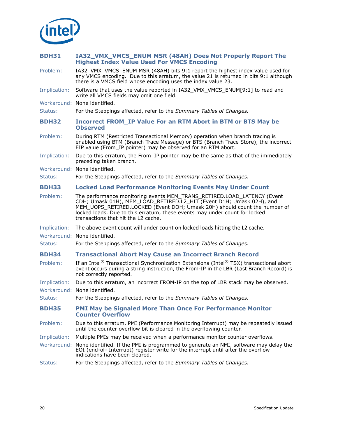

# <span id="page-19-0"></span>**BDH31 IA32\_VMX\_VMCS\_ENUM MSR (48AH) Does Not Properly Report The Highest Index Value Used For VMCS Encoding**

- Problem: IA32\_VMX\_VMCS\_ENUM MSR (48AH) bits 9:1 report the highest index value used for any VMCS encoding. Due to this erratum, the value 21 is returned in bits 9:1 although there is a VMCS field whose encoding uses the index value 23.
- Implication: Software that uses the value reported in IA32 VMX VMCS\_ENUM[9:1] to read and write all VMCS fields may omit one field.
- Workaround: None identified.
- Status: For the Steppings affected, refer to the *Summary Tables of Changes.*
- <span id="page-19-1"></span>**BDH32 Incorrect FROM\_IP Value For an RTM Abort in BTM or BTS May be Observed**
- Problem: During RTM (Restricted Transactional Memory) operation when branch tracing is enabled using BTM (Branch Trace Message) or BTS (Branch Trace Store), the incorrect EIP value (From\_IP pointer) may be observed for an RTM abort.
- Implication: Due to this erratum, the From IP pointer may be the same as that of the immediately preceding taken branch.
- Workaround: None identified.
- Status: For the Steppings affected, refer to the *Summary Tables of Changes.*

## <span id="page-19-2"></span>**BDH33 Locked Load Performance Monitoring Events May Under Count**

- Problem: The performance monitoring events MEM\_TRANS\_RETIRED.LOAD\_LATENCY (Event CDH; Umask 01H), MEM\_LOAD\_RETIRED.L2\_HIT (Event D1H; Umask 02H), and MEM\_UOPS\_RETIRED.LOCKED (Event DOH; Umask 20H) should count the number of locked loads. Due to this erratum, these events may under count for locked transactions that hit the L2 cache.
- Implication: The above event count will under count on locked loads hitting the L2 cache.
- Workaround: None identified.
- Status: For the Steppings affected, refer to the *Summary Tables of Changes.*

## <span id="page-19-3"></span>**BDH34 Transactional Abort May Cause an Incorrect Branch Record**

- Problem: If an Intel<sup>®</sup> Transactional Synchronization Extensions (Intel<sup>®</sup> TSX) transactional abort event occurs during a string instruction, the From-IP in the LBR (Last Branch Record) is not correctly reported.
- Implication: Due to this erratum, an incorrect FROM-IP on the top of LBR stack may be observed.

Workaround: None identified.

Status: For the Steppings affected, refer to the *Summary Tables of Changes.*

# <span id="page-19-4"></span>**BDH35 PMI May be Signaled More Than Once For Performance Monitor Counter Overflow**

- Problem: Due to this erratum, PMI (Performance Monitoring Interrupt) may be repeatedly issued until the counter overflow bit is cleared in the overflowing counter.
- Implication: Multiple PMIs may be received when a performance monitor counter overflows.
- Workaround: None identified. If the PMI is programmed to generate an NMI, software may delay the EOI (end-of- Interrupt) register write for the interrupt until after the overflow indications have been cleared.
- Status: For the Steppings affected, refer to the *Summary Tables of Changes.*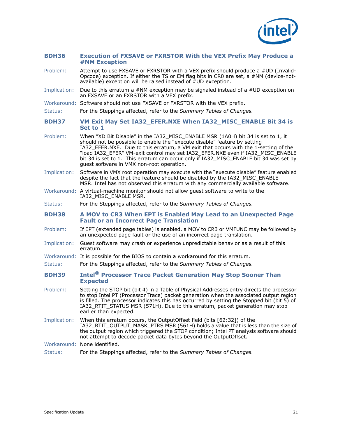

## <span id="page-20-0"></span>**BDH36 Execution of FXSAVE or FXRSTOR With the VEX Prefix May Produce a #NM Exception**

- Problem: Attempt to use FXSAVE or FXRSTOR with a VEX prefix should produce a #UD (Invalid-Opcode) exception. If either the TS or EM flag bits in CR0 are set, a #NM (device-notavailable) exception will be raised instead of  $\#$ UD exception.
- Implication: Due to this erratum a #NM exception may be signaled instead of a #UD exception on an FXSAVE or an FXRSTOR with a VEX prefix.
- Workaround: Software should not use FXSAVE or FXRSTOR with the VEX prefix.
- Status: For the Steppings affected, refer to the *Summary Tables of Changes.*

<span id="page-20-1"></span>**BDH37 VM Exit May Set IA32\_EFER.NXE When IA32\_MISC\_ENABLE Bit 34 is Set to 1**

- Problem: When "XD Bit Disable" in the IA32\_MISC\_ENABLE MSR (1A0H) bit 34 is set to 1, it should not be possible to enable the "execute disable" feature by setting IA32\_EFER.NXE. Due to this erratum, a VM exit that occurs with the 1-setting of the "load IA32\_EFER" VM-exit control may set IA32\_EFER.NXE even if IA32\_MISC\_ENABLE bit 34 is set to 1. This erratum can occur only if IA32\_MISC\_ENABLE bit 34 was set by guest software in VMX non-root operation.
- Implication: Software in VMX root operation may execute with the "execute disable" feature enabled despite the fact that the feature should be disabled by the IA32\_MISC\_ENABLE MSR. Intel has not observed this erratum with any commercially available software.
- Workaround: A virtual-machine monitor should not allow guest software to write to the IA32\_MISC\_ENABLE MSR.
- Status: For the Steppings affected, refer to the *Summary Tables of Changes.*

<span id="page-20-2"></span>**BDH38 A MOV to CR3 When EPT is Enabled May Lead to an Unexpected Page Fault or an Incorrect Page Translation**

- Problem: If EPT (extended page tables) is enabled, a MOV to CR3 or VMFUNC may be followed by an unexpected page fault or the use of an incorrect page translation.
- Implication: Guest software may crash or experience unpredictable behavior as a result of this erratum.
- Workaround: It is possible for the BIOS to contain a workaround for this erratum.
- Status: For the Steppings affected, refer to the *Summary Tables of Changes.*
- <span id="page-20-3"></span>**BDH39 Intel® Processor Trace Packet Generation May Stop Sooner Than Expected**
- Problem: Setting the STOP bit (bit 4) in a Table of Physical Addresses entry directs the processor to stop Intel PT (Processor Trace) packet generation when the associated output region is filled. The processor indicates this has occurred by setting the Stopped bit (bit 5) of IA32\_RTIT\_STATUS MSR (571H). Due to this erratum, packet generation may stop earlier than expected.
- Implication: When this erratum occurs, the OutputOffset field (bits [62:32]) of the IA32\_RTIT\_OUTPUT\_MASK\_PTRS MSR (561H) holds a value that is less than the size of the output region which triggered the STOP condition; Intel PT analysis software should not attempt to decode packet data bytes beyond the OutputOffset.

Workaround: None identified.

Status: For the Steppings affected, refer to the *Summary Tables of Changes.*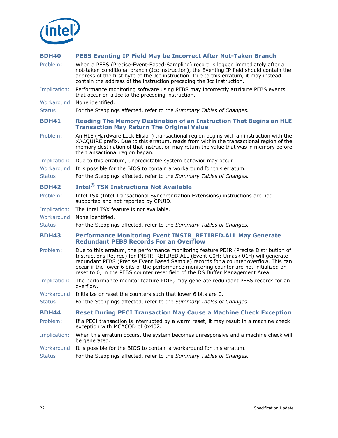

# <span id="page-21-0"></span>**BDH40 PEBS Eventing IP Field May be Incorrect After Not-Taken Branch**

<span id="page-21-4"></span><span id="page-21-3"></span><span id="page-21-2"></span><span id="page-21-1"></span>

| Problem:     | When a PEBS (Precise-Event-Based-Sampling) record is logged immediately after a<br>not-taken conditional branch (Jcc instruction), the Eventing IP field should contain the<br>address of the first byte of the Jcc instruction. Due to this erratum, it may instead<br>contain the address of the instruction preceding the Jcc instruction.                                                                                                |
|--------------|----------------------------------------------------------------------------------------------------------------------------------------------------------------------------------------------------------------------------------------------------------------------------------------------------------------------------------------------------------------------------------------------------------------------------------------------|
| Implication: | Performance monitoring software using PEBS may incorrectly attribute PEBS events<br>that occur on a Jcc to the preceding instruction.                                                                                                                                                                                                                                                                                                        |
|              | Workaround: None identified.                                                                                                                                                                                                                                                                                                                                                                                                                 |
| Status:      | For the Steppings affected, refer to the Summary Tables of Changes.                                                                                                                                                                                                                                                                                                                                                                          |
| <b>BDH41</b> | <b>Reading The Memory Destination of an Instruction That Begins an HLE</b><br><b>Transaction May Return The Original Value</b>                                                                                                                                                                                                                                                                                                               |
| Problem:     | An HLE (Hardware Lock Elision) transactional region begins with an instruction with the<br>XACQUIRE prefix. Due to this erratum, reads from within the transactional region of the<br>memory destination of that instruction may return the value that was in memory before<br>the transactional region began.                                                                                                                               |
| Implication: | Due to this erratum, unpredictable system behavior may occur.                                                                                                                                                                                                                                                                                                                                                                                |
|              | Workaround: It is possible for the BIOS to contain a workaround for this erratum.                                                                                                                                                                                                                                                                                                                                                            |
| Status:      | For the Steppings affected, refer to the Summary Tables of Changes.                                                                                                                                                                                                                                                                                                                                                                          |
| <b>BDH42</b> | <b>Intel<sup>®</sup> TSX Instructions Not Available</b>                                                                                                                                                                                                                                                                                                                                                                                      |
| Problem:     | Intel TSX (Intel Transactional Synchronization Extensions) instructions are not<br>supported and not reported by CPUID.                                                                                                                                                                                                                                                                                                                      |
| Implication: | The Intel TSX feature is not available.                                                                                                                                                                                                                                                                                                                                                                                                      |
|              | Workaround: None identified.                                                                                                                                                                                                                                                                                                                                                                                                                 |
| Status:      | For the Steppings affected, refer to the Summary Tables of Changes.                                                                                                                                                                                                                                                                                                                                                                          |
| <b>BDH43</b> | <b>Performance Monitoring Event INSTR_RETIRED.ALL May Generate</b><br><b>Redundant PEBS Records For an Overflow</b>                                                                                                                                                                                                                                                                                                                          |
| Problem:     | Due to this erratum, the performance monitoring feature PDIR (Precise Distribution of<br>Instructions Retired) for INSTR_RETIRED.ALL (Event C0H; Umask 01H) will generate<br>redundant PEBS (Precise Event Based Sample) records for a counter overflow. This can<br>occur if the lower 6 bits of the performance monitoring counter are not initialized or<br>reset to 0, in the PEBS counter reset field of the DS Buffer Management Area. |
| Implication: | The performance monitor feature PDIR, may generate redundant PEBS records for an<br>overflow.                                                                                                                                                                                                                                                                                                                                                |
|              | Workaround: Initialize or reset the counters such that lower 6 bits are 0.                                                                                                                                                                                                                                                                                                                                                                   |
| Status:      | For the Steppings affected, refer to the Summary Tables of Changes.                                                                                                                                                                                                                                                                                                                                                                          |
| <b>BDH44</b> | <b>Reset During PECI Transaction May Cause a Machine Check Exception</b>                                                                                                                                                                                                                                                                                                                                                                     |
| Problem:     | If a PECI transaction is interrupted by a warm reset, it may result in a machine check<br>exception with MCACOD of 0x402.                                                                                                                                                                                                                                                                                                                    |
| Implication: | When this erratum occurs, the system becomes unresponsive and a machine check will<br>be generated.                                                                                                                                                                                                                                                                                                                                          |
|              | Workaround: It is possible for the BIOS to contain a workaround for this erratum.                                                                                                                                                                                                                                                                                                                                                            |
| Status:      | For the Steppings affected, refer to the Summary Tables of Changes.                                                                                                                                                                                                                                                                                                                                                                          |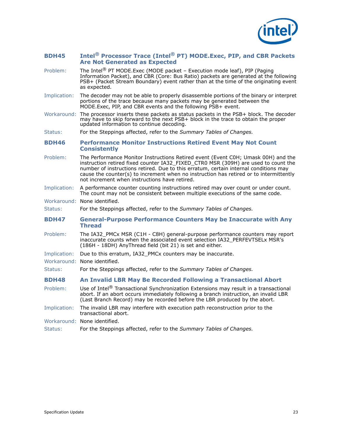

# <span id="page-22-0"></span>**BDH45 Intel® Processor Trace (Intel® PT) MODE.Exec, PIP, and CBR Packets Are Not Generated as Expected**

- Problem: The Intel<sup>®</sup> PT MODE.Exec (MODE packet Execution mode leaf), PIP (Paging Information Packet), and CBR (Core: Bus Ratio) packets are generated at the following PSB+ (Packet Stream Boundary) event rather than at the time of the originating event as expected.
- Implication: The decoder may not be able to properly disassemble portions of the binary or interpret portions of the trace because many packets may be generated between the MODE.Exec, PIP, and CBR events and the following PSB+ event.
- Workaround: The processor inserts these packets as status packets in the PSB+ block. The decoder may have to skip forward to the next PSB+ block in the trace to obtain the proper updated information to continue decoding.

Status: For the Steppings affected, refer to the *Summary Tables of Changes.*

# <span id="page-22-1"></span>**BDH46 Performance Monitor Instructions Retired Event May Not Count Consistently**

- Problem: The Performance Monitor Instructions Retired event (Event C0H; Umask 00H) and the instruction retired fixed counter IA32\_FIXED\_CTR0 MSR (309H) are used to count the number of instructions retired. Due to this erratum, certain internal conditions may cause the counter(s) to increment when no instruction has retired or to intermittently not increment when instructions have retired.
- Implication: A performance counter counting instructions retired may over count or under count. The count may not be consistent between multiple executions of the same code.
- Workaround: None identified.
- Status: For the Steppings affected, refer to the *Summary Tables of Changes.*
- <span id="page-22-2"></span>**BDH47 General-Purpose Performance Counters May be Inaccurate with Any Thread**
- Problem: The IA32\_PMCx MSR (C1H C8H) general-purpose performance counters may report inaccurate counts when the associated event selection IA32\_PERFEVTSELx MSR's (186H - 18DH) AnyThread field (bit 21) is set and either.
- Implication: Due to this erratum, IA32 PMCx counters may be inaccurate.
- Workaround: None identified.

Status: For the Steppings affected, refer to the *Summary Tables of Changes.*

# <span id="page-22-3"></span>**BDH48 An Invalid LBR May Be Recorded Following a Transactional Abort**

- Problem: Use of Intel<sup>®</sup> Transactional Synchronization Extensions may result in a transactional abort. If an abort occurs immediately following a branch instruction, an invalid LBR (Last Branch Record) may be recorded before the LBR produced by the abort.
- Implication: The invalid LBR may interfere with execution path reconstruction prior to the transactional abort.
- Workaround: None identified.

```
Status: For the Steppings affected, refer to the Summary Tables of Changes.
```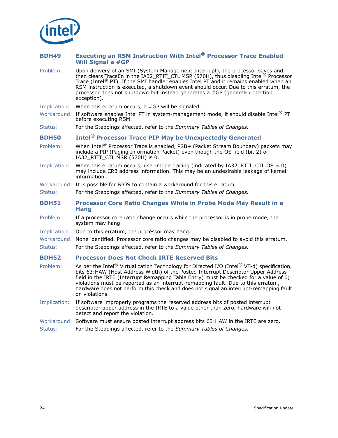

<span id="page-23-3"></span><span id="page-23-2"></span><span id="page-23-1"></span><span id="page-23-0"></span>

| <b>BDH49</b> | <b>Executing an RSM Instruction With Intel<sup>®</sup> Processor Trace Enabled</b><br><b>Will Signal a #GP</b>                                                                                                                                                                                                                                                                                                                                                                |
|--------------|-------------------------------------------------------------------------------------------------------------------------------------------------------------------------------------------------------------------------------------------------------------------------------------------------------------------------------------------------------------------------------------------------------------------------------------------------------------------------------|
| Problem:     | Upon delivery of an SMI (System Management Interrupt), the processor saves and<br>then clears TraceEn in the IA32_RTIT_CTL MSR (570H), thus disabling Intel <sup>®</sup> Processor<br>Trace (Intel <sup>®</sup> PT). If the SMI handler enables Intel PT and it remains enabled when an<br>RSM instruction is executed, a shutdown event should occur. Due to this erratum, the<br>processor does not shutdown but instead generates a #GP (general-protection<br>exception). |
| Implication: | When this erratum occurs, a #GP will be signaled.                                                                                                                                                                                                                                                                                                                                                                                                                             |
|              | Workaround: If software enables Intel PT in system-management mode, it should disable Intel <sup>®</sup> PT<br>before executing RSM.                                                                                                                                                                                                                                                                                                                                          |
| Status:      | For the Steppings affected, refer to the Summary Tables of Changes.                                                                                                                                                                                                                                                                                                                                                                                                           |
| <b>BDH50</b> | <b>Intel<sup>®</sup> Processor Trace PIP May be Unexpectedly Generated</b>                                                                                                                                                                                                                                                                                                                                                                                                    |
| Problem:     | When Intel <sup>®</sup> Processor Trace is enabled, PSB+ (Packet Stream Boundary) packets may<br>include a PIP (Paging Information Packet) even though the OS field (bit 2) of<br>IA32_RTIT_CTL MSR (570H) is 0.                                                                                                                                                                                                                                                              |
| Implication: | When this erratum occurs, user-mode tracing (indicated by $IA32\_RTIT\_CTL.OS = 0$ )<br>may include CR3 address information. This may be an undesirable leakage of kernel<br>information.                                                                                                                                                                                                                                                                                     |
|              | Workaround: It is possible for BIOS to contain a workaround for this erratum.                                                                                                                                                                                                                                                                                                                                                                                                 |
| Status:      | For the Steppings affected, refer to the Summary Tables of Changes.                                                                                                                                                                                                                                                                                                                                                                                                           |
| <b>BDH51</b> | Processor Core Ratio Changes While in Probe Mode May Result in a<br><b>Hang</b>                                                                                                                                                                                                                                                                                                                                                                                               |
| Problem:     | If a processor core ratio change occurs while the processor is in probe mode, the<br>system may hang.                                                                                                                                                                                                                                                                                                                                                                         |
| Implication: | Due to this erratum, the processor may hang.                                                                                                                                                                                                                                                                                                                                                                                                                                  |
|              | Workaround: None identified. Processor core ratio changes may be disabled to avoid this erratum.                                                                                                                                                                                                                                                                                                                                                                              |
| Status:      | For the Steppings affected, refer to the Summary Tables of Changes.                                                                                                                                                                                                                                                                                                                                                                                                           |
| <b>BDH52</b> | <b>Processor Does Not Check IRTE Reserved Bits</b>                                                                                                                                                                                                                                                                                                                                                                                                                            |
| Problem:     | As per the Intel® Virtualization Technology for Directed I/O (Intel® VT-d) specification,<br>bits 63:HAW (Host Address Width) of the Posted Interrupt Descriptor Upper Address<br>field in the IRTE (Interrupt Remapping Table Entry) must be checked for a value of 0;<br>violations must be reported as an interrupt-remapping fault. Due to this erratum,<br>hardware does not perform this check and does not signal an interrupt-remapping fault<br>on violations.       |
| Implication: | If software improperly programs the reserved address bits of posted interrupt<br>descriptor upper address in the IRTE to a value other than zero, hardware will not<br>detect and report the violation.                                                                                                                                                                                                                                                                       |
|              | Workaround: Software must ensure posted interrupt address bits 63: HAW in the IRTE are zero.                                                                                                                                                                                                                                                                                                                                                                                  |
| Status:      | For the Steppings affected, refer to the Summary Tables of Changes.                                                                                                                                                                                                                                                                                                                                                                                                           |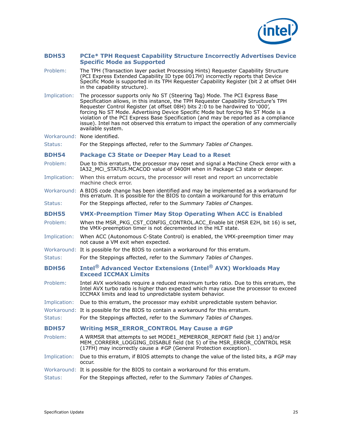

## <span id="page-24-0"></span>**BDH53 PCIe\* TPH Request Capability Structure Incorrectly Advertises Device Specific Mode as Supported**

- Problem: The TPH (Transaction layer packet Processing Hints) Requester Capability Structure (PCI Express Extended Capability ID type 0017H) incorrectly reports that Device Specific Mode is supported in its TPH Requester Capability Register (bit 2 at offset 04H in the capability structure).
- Implication: The processor supports only No ST (Steering Tag) Mode. The PCI Express Base Specification allows, in this instance, the TPH Requester Capability Structure's TPH Requester Control Register (at offset 08H) bits 2:0 to be hardwired to '000', forcing No ST Mode. Advertising Device Specific Mode but forcing No ST Mode is a violation of the PCI Express Base Specification (and may be reported as a compliance issue). Intel has not observed this erratum to impact the operation of any commercially available system.

Workaround: None identified.

Status: For the Steppings affected, refer to the *Summary Tables of Changes.*

## <span id="page-24-1"></span>**BDH54 Package C3 State or Deeper May Lead to a Reset**

Problem: Due to this erratum, the processor may reset and signal a Machine Check error with a IA32 MCi\_STATUS.MCACOD value of 0400H when in Package C3 state or deeper.

- Implication: When this erratum occurs, the processor will reset and report an uncorrectable machine check error.
- Workaround: A BIOS code change has been identified and may be implemented as a workaround for this erratum. It is possible for the BIOS to contain a workaround for this erratum
- Status: For the Steppings affected, refer to the *Summary Tables of Changes.*

## <span id="page-24-2"></span>**BDH55 VMX-Preemption Timer May Stop Operating When ACC is Enabled**

- Problem: When the MSR\_PKG\_CST\_CONFIG\_CONTROL.ACC\_Enable bit (MSR E2H, bit 16) is set, the VMX-preemption timer is not decremented in the HLT state.
- Implication: When ACC (Autonomous C-State Control) is enabled, the VMX-preemption timer may not cause a VM exit when expected.
- Workaround: It is possible for the BIOS to contain a workaround for this erratum.
- Status: For the Steppings affected, refer to the *Summary Tables of Changes*.

# <span id="page-24-3"></span>**BDH56 Intel® Advanced Vector Extensions (Intel® AVX) Workloads May Exceed ICCMAX Limits**

- Problem: Intel AVX workloads require a reduced maximum turbo ratio. Due to this erratum, the Intel AVX turbo ratio is higher than expected which may cause the processor to exceed ICCMAX limits and lead to unpredictable system behavior.
- Implication: Due to this erratum, the processor may exhibit unpredictable system behavior.
- Workaround: It is possible for the BIOS to contain a workaround for this erratum.
- Status: For the Steppings affected, refer to the *Summary Tables of Changes.*

## <span id="page-24-4"></span>**BDH57 Writing MSR\_ERROR\_CONTROL May Cause a #GP**

- Problem: A WRMSR that attempts to set MODE1\_MEMERROR\_REPORT field (bit 1) and/or MEM\_CORRERR\_LOGGING\_DISABLE field (bit 5) of the MSR\_ERROR\_CONTROL MSR (17FH) may incorrectly cause a #GP (General Protection exception).
- Implication: Due to this erratum, if BIOS attempts to change the value of the listed bits, a #GP may occur.
- Workaround: It is possible for the BIOS to contain a workaround for this erratum.

Status: For the Steppings affected, refer to the *Summary Tables of Changes.*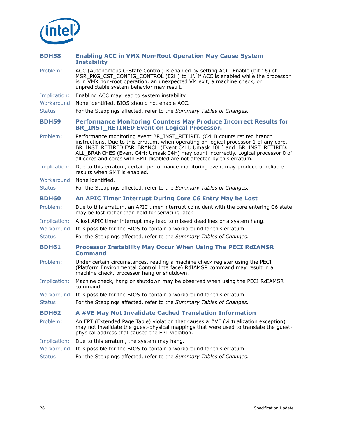

<span id="page-25-4"></span><span id="page-25-3"></span><span id="page-25-2"></span><span id="page-25-1"></span><span id="page-25-0"></span>

| <b>BDH58</b> | <b>Enabling ACC in VMX Non-Root Operation May Cause System</b><br><b>Instability</b>                                                                                                                                                                                                                                                                                                                        |
|--------------|-------------------------------------------------------------------------------------------------------------------------------------------------------------------------------------------------------------------------------------------------------------------------------------------------------------------------------------------------------------------------------------------------------------|
| Problem:     | ACC (Autonomous C-State Control) is enabled by setting ACC_Enable (bit 16) of<br>MSR_PKG_CST_CONFIG_CONTROL (E2H) to '1'. If ACC is enabled while the processor<br>is in VMX non-root operation, an unexpected VM exit, a machine check, or<br>unpredictable system behavior may result.                                                                                                                    |
| Implication: | Enabling ACC may lead to system instability.                                                                                                                                                                                                                                                                                                                                                                |
|              | Workaround: None identified. BIOS should not enable ACC.                                                                                                                                                                                                                                                                                                                                                    |
| Status:      | For the Steppings affected, refer to the Summary Tables of Changes.                                                                                                                                                                                                                                                                                                                                         |
| <b>BDH59</b> | <b>Performance Monitoring Counters May Produce Incorrect Results for</b><br><b>BR_INST_RETIRED Event on Logical Processor.</b>                                                                                                                                                                                                                                                                              |
| Problem:     | Performance monitoring event BR_INST_RETIRED (C4H) counts retired branch<br>instructions. Due to this erratum, when operating on logical processor 1 of any core,<br>BR_INST_RETIRED.FAR_BRANCH (Event C4H; Umask 40H) and BR_INST_RETIRED.<br>ALL_BRANCHES (Event C4H; Umask 04H) may count incorrectly. Logical processor 0 of<br>all cores and cores with SMT disabled are not affected by this erratum. |
| Implication: | Due to this erratum, certain performance monitoring event may produce unreliable<br>results when SMT is enabled.                                                                                                                                                                                                                                                                                            |
|              | Workaround: None identified.                                                                                                                                                                                                                                                                                                                                                                                |
| Status:      | For the Steppings affected, refer to the Summary Tables of Changes.                                                                                                                                                                                                                                                                                                                                         |
| <b>BDH60</b> | An APIC Timer Interrupt During Core C6 Entry May be Lost                                                                                                                                                                                                                                                                                                                                                    |
| Problem:     | Due to this erratum, an APIC timer interrupt coincident with the core entering C6 state<br>may be lost rather than held for servicing later.                                                                                                                                                                                                                                                                |
| Implication: | A lost APIC timer interrupt may lead to missed deadlines or a system hang.                                                                                                                                                                                                                                                                                                                                  |
|              | Workaround: It is possible for the BIOS to contain a workaround for this erratum.                                                                                                                                                                                                                                                                                                                           |
| Status:      | For the Steppings affected, refer to the Summary Tables of Changes.                                                                                                                                                                                                                                                                                                                                         |
| <b>BDH61</b> | <b>Processor Instability May Occur When Using The PECI RdIAMSR</b><br><b>Command</b>                                                                                                                                                                                                                                                                                                                        |
| Problem:     | Under certain circumstances, reading a machine check register using the PECI<br>(Platform Environmental Control Interface) RdIAMSR command may result in a<br>machine check, processor hang or shutdown.                                                                                                                                                                                                    |
| Implication: | Machine check, hang or shutdown may be observed when using the PECI RdIAMSR<br>command.                                                                                                                                                                                                                                                                                                                     |
|              | Workaround: It is possible for the BIOS to contain a workaround for this erratum.                                                                                                                                                                                                                                                                                                                           |
| Status:      | For the Steppings affected, refer to the Summary Tables of Changes.                                                                                                                                                                                                                                                                                                                                         |
| <b>BDH62</b> | A #VE May Not Invalidate Cached Translation Information                                                                                                                                                                                                                                                                                                                                                     |
| Problem:     | An EPT (Extended Page Table) violation that causes a #VE (virtualization exception)<br>may not invalidate the guest-physical mappings that were used to translate the guest-<br>physical address that caused the EPT violation.                                                                                                                                                                             |
| Implication: | Due to this erratum, the system may hang.                                                                                                                                                                                                                                                                                                                                                                   |
|              | Workaround: It is possible for the BIOS to contain a workaround for this erratum.                                                                                                                                                                                                                                                                                                                           |
| Status:      | For the Steppings affected, refer to the Summary Tables of Changes.                                                                                                                                                                                                                                                                                                                                         |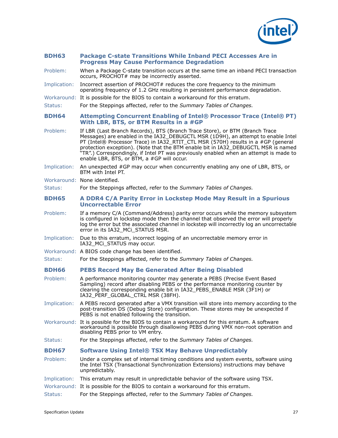

## <span id="page-26-0"></span>**BDH63 Package C-state Transitions While Inband PECI Accesses Are in Progress May Cause Performance Degradation**

- Problem: When a Package C-state transition occurs at the same time an inband PECI transaction occurs, PROCHOT# may be incorrectly asserted.
- Implication: Incorrect assertion of PROCHOT# reduces the core frequency to the minimum operating frequency of 1.2 GHz resulting in persistent performance degradation.
- Workaround: It is possible for the BIOS to contain a workaround for this erratum.
- Status: For the Steppings affected, refer to the *Summary Tables of Changes.*

## <span id="page-26-1"></span>**BDH64 Attempting Concurrent Enabling of Intel® Processor Trace (Intel® PT) With LBR, BTS, or BTM Results in a #GP**

- Problem: If LBR (Last Branch Records), BTS (Branch Trace Store), or BTM (Branch Trace Messages) are enabled in the IA32\_DEBUGCTL MSR (1D9H), an attempt to enable Intel PT (Intel® Processor Trace) in IA32\_RTIT\_CTL MSR (570H) results in a #GP (general protection exception). (Note that the BTM enable bit in IA32\_DEBUGCTL MSR is named "TR".) Correspondingly, if Intel PT was previously enabled when an attempt is made to enable LBR, BTS, or  $BTH$ , a  $#GP$  will occur.
- Implication: An unexpected #GP may occur when concurrently enabling any one of LBR, BTS, or BTM with Intel PT.
- Workaround: None identified.

#### Status: For the Steppings affected, refer to the *Summary Tables of Changes.*

#### <span id="page-26-2"></span>**BDH65 A DDR4 C/A Parity Error in Lockstep Mode May Result in a Spurious Uncorrectable Error**

- Problem: If a memory C/A (Command/Address) parity error occurs while the memory subsystem is configured in lockstep mode then the channel that observed the error will properly log the error but the associated channel in lockstep will incorrectly log an uncorrectable error in its IA32\_MCi\_STATUS MSR.
- Implication: Due to this erratum, incorrect logging of an uncorrectable memory error in IA32\_MCi\_STATUS may occur.
- Workaround: A BIOS code change has been identified.
- Status: For the Steppings affected, refer to the *Summary Tables of Changes.*

## <span id="page-26-3"></span>**BDH66 PEBS Record May Be Generated After Being Disabled**

- Problem: A performance monitoring counter may generate a PEBS (Precise Event Based Sampling) record after disabling PEBS or the performance monitoring counter by clearing the corresponding enable bit in IA32\_PEBS\_ENABLE MSR (3F1H) or IA32\_PERF\_GLOBAL\_CTRL MSR (38FH).
- Implication: A PEBS record generated after a VMX transition will store into memory according to the post-transition DS (Debug Store) configuration. These stores may be unexpected if PEBS is not enabled following the transition.
- Workaround: It is possible for the BIOS to contain a workaround for this erratum. A software workaround is possible through disallowing PEBS during VMX non-root operation and disabling PEBS prior to VM entry.
- Status: For the Steppings affected, refer to the *Summary Tables of Changes.*

## <span id="page-26-4"></span>**BDH67 Software Using Intel® TSX May Behave Unpredictably**

- Problem: Under a complex set of internal timing conditions and system events, software using the Intel TSX (Transactional Synchronization Extensions) instructions may behave unpredictably.
- Implication: This erratum may result in unpredictable behavior of the software using TSX.
- Workaround: It is possible for the BIOS to contain a workaround for this erratum.
- Status: For the Steppings affected, refer to the *Summary Tables of Changes.*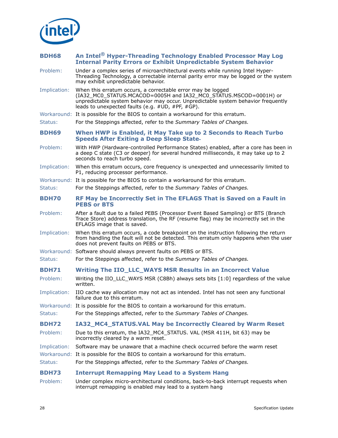

<span id="page-27-5"></span><span id="page-27-4"></span><span id="page-27-3"></span><span id="page-27-2"></span><span id="page-27-1"></span><span id="page-27-0"></span>

| <b>BDH68</b> | An Intel <sup>®</sup> Hyper-Threading Technology Enabled Processor May Log<br><b>Internal Parity Errors or Exhibit Unpredictable System Behavior</b>                                                                                                                      |
|--------------|---------------------------------------------------------------------------------------------------------------------------------------------------------------------------------------------------------------------------------------------------------------------------|
| Problem:     | Under a complex series of microarchitectural events while running Intel Hyper-<br>Threading Technology, a correctable internal parity error may be logged or the system<br>may exhibit unpredictable behavior.                                                            |
| Implication: | When this erratum occurs, a correctable error may be logged<br>(IA32_MC0_STATUS.MCACOD=0005H and IA32_MC0_STATUS.MSCOD=0001H) or<br>unpredictable system behavior may occur. Unpredictable system behavior frequently<br>leads to unexpected faults (e.g. #UD, #PF, #GP). |
|              | Workaround: It is possible for the BIOS to contain a workaround for this erratum.                                                                                                                                                                                         |
| Status:      | For the Steppings affected, refer to the Summary Tables of Changes.                                                                                                                                                                                                       |
| <b>BDH69</b> | When HWP is Enabled, it May Take up to 2 Seconds to Reach Turbo<br><b>Speeds After Exiting a Deep Sleep State-</b>                                                                                                                                                        |
| Problem:     | With HWP (Hardware-controlled Performance States) enabled, after a core has been in<br>a deep C state (C3 or deeper) for several hundred milliseconds, it may take up to 2<br>seconds to reach turbo speed.                                                               |
| Implication: | When this erratum occurs, core frequency is unexpected and unnecessarily limited to<br>P1, reducing processor performance.                                                                                                                                                |
|              | Workaround: It is possible for the BIOS to contain a workaround for this erratum.                                                                                                                                                                                         |
| Status:      | For the Steppings affected, refer to the Summary Tables of Changes.                                                                                                                                                                                                       |
| <b>BDH70</b> | RF May be Incorrectly Set in The EFLAGS That is Saved on a Fault in<br><b>PEBS or BTS</b>                                                                                                                                                                                 |
| Problem:     | After a fault due to a failed PEBS (Processor Event Based Sampling) or BTS (Branch<br>Trace Store) address translation, the RF (resume flag) may be incorrectly set in the<br>EFLAGS image that is saved.                                                                 |
| Implication: | When this erratum occurs, a code breakpoint on the instruction following the return<br>from handling the fault will not be detected. This erratum only happens when the user<br>does not prevent faults on PEBS or BTS.                                                   |
|              | Workaround: Software should always prevent faults on PEBS or BTS.                                                                                                                                                                                                         |
| Status:      | For the Steppings affected, refer to the Summary Tables of Changes.                                                                                                                                                                                                       |
| <b>BDH71</b> | Writing The IIO LLC WAYS MSR Results in an Incorrect Value                                                                                                                                                                                                                |
| Problem:     | Writing the IIO_LLC_WAYS MSR (C8Bh) always sets bits [1:0] regardless of the value<br>written.                                                                                                                                                                            |
| Implication: | IIO cache way allocation may not act as intended. Intel has not seen any functional<br>failure due to this erratum.                                                                                                                                                       |
|              | Workaround: It is possible for the BIOS to contain a workaround for this erratum.                                                                                                                                                                                         |
| Status:      | For the Steppings affected, refer to the Summary Tables of Changes.                                                                                                                                                                                                       |
| <b>BDH72</b> | IA32_MC4_STATUS.VAL May be Incorrectly Cleared by Warm Reset                                                                                                                                                                                                              |
| Problem:     | Due to this erratum, the IA32_MC4_STATUS. VAL (MSR 411H, bit 63) may be<br>incorrectly cleared by a warm reset.                                                                                                                                                           |
| Implication: | Software may be unaware that a machine check occurred before the warm reset                                                                                                                                                                                               |
|              | Workaround: It is possible for the BIOS to contain a workaround for this erratum.                                                                                                                                                                                         |
| Status:      | For the Steppings affected, refer to the Summary Tables of Changes.                                                                                                                                                                                                       |
| <b>BDH73</b> | <b>Interrupt Remapping May Lead to a System Hang</b>                                                                                                                                                                                                                      |
| Problem:     | Under complex micro-architectural conditions, back-to-back interrupt requests when<br>interrupt remapping is enabled may lead to a system hang                                                                                                                            |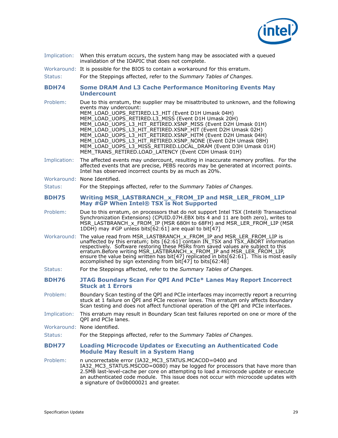

<span id="page-28-2"></span><span id="page-28-1"></span><span id="page-28-0"></span>

| Implication: | When this erratum occurs, the system hang may be associated with a queued<br>invalidation of the IOAPIC that does not complete.                                                                                                                                                                                                                                                                                                                                                                                                                                                                                      |
|--------------|----------------------------------------------------------------------------------------------------------------------------------------------------------------------------------------------------------------------------------------------------------------------------------------------------------------------------------------------------------------------------------------------------------------------------------------------------------------------------------------------------------------------------------------------------------------------------------------------------------------------|
|              | Workaround: It is possible for the BIOS to contain a workaround for this erratum.                                                                                                                                                                                                                                                                                                                                                                                                                                                                                                                                    |
| Status:      | For the Steppings affected, refer to the Summary Tables of Changes.                                                                                                                                                                                                                                                                                                                                                                                                                                                                                                                                                  |
| <b>BDH74</b> | <b>Some DRAM And L3 Cache Performance Monitoring Events May</b><br><b>Undercount</b>                                                                                                                                                                                                                                                                                                                                                                                                                                                                                                                                 |
| Problem:     | Due to this erratum, the supplier may be misattributed to unknown, and the following<br>events may undercount:<br>MEM_LOAD_UOPS_RETIRED.L3_HIT (Event D1H Umask 04H)<br>MEM_LOAD_UOPS_RETIRED.L3_MISS (Event D1H Umask 20H)<br>MEM_LOAD_UOPS_L3_HIT_RETIRED.XSNP_MISS (Event D2H Umask 01H)<br>MEM_LOAD_UOPS_L3_HIT_RETIRED.XSNP_HIT (Event D2H Umask 02H)<br>MEM_LOAD_UOPS_L3_HIT_RETIRED.XSNP_HITM (Event D2H Umask 04H)<br>MEM_LOAD_UOPS_L3_HIT_RETIRED.XSNP_NONE (Event D2H Umask 08H)<br>MEM LOAD UOPS L3 MISS RETIRED.LOCAL DRAM (Event D3H Umask 01H)<br>MEM_TRANS_RETIRED.LOAD_LATENCY (Event CDH Umask 01H) |
| Implication: | The affected events may undercount, resulting in inaccurate memory profiles. For the<br>affected events that are precise, PEBS records may be generated at incorrect points.<br>Intel has observed incorrect counts by as much as 20%.                                                                                                                                                                                                                                                                                                                                                                               |
|              | Workaround: None Identified.                                                                                                                                                                                                                                                                                                                                                                                                                                                                                                                                                                                         |
| Status:      | For the Steppings affected, refer to the Summary Tables of Changes.                                                                                                                                                                                                                                                                                                                                                                                                                                                                                                                                                  |
| <b>BDH75</b> | Writing MSR_LASTBRANCH_x_FROM_IP and MSR_LER_FROM_LIP<br>May #GP When Intel® TSX is Not Supported                                                                                                                                                                                                                                                                                                                                                                                                                                                                                                                    |
| Problem:     | Due to this erratum, on processors that do not support Intel TSX (Intel® Transactional<br>Synchronization Extensions) (CPUID.07H.EBX bits 4 and 11 are both zero), writes to<br>MSR_LASTBRANCH_x_FROM_IP (MSR 680H to 68FH) and MSR_LER_FROM_LIP (MSR<br>1DDH) may #GP unless bits[62:61] are equal to bit[47]                                                                                                                                                                                                                                                                                                       |
| Workaround:  | The value read from MSR_LASTBRANCH_x_FROM_IP and MSR_LER_FROM_LIP is<br>unaffected by this erratum; bits $[62:61]$ contain IN_TSX and TSX_ABORT information<br>respectively. Software restoring these MSRs from saved values are subject to this<br>erratum.Before writing MSR_LASTBRANCH_x_FROM_IP and MSR_LER_FROM_LIP,<br>ensure the value being written has bit[47] replicated in bits[62:61]. This is most easily<br>accomplished by sign extending from bit[47] to bits[62:48]                                                                                                                                 |
| Status:      | For the Steppings affected, refer to the Summary Tables of Changes.                                                                                                                                                                                                                                                                                                                                                                                                                                                                                                                                                  |
| <b>BDH76</b> | JTAG Boundary Scan For QPI And PCIe* Lanes May Report Incorrect<br><b>Stuck at 1 Errors</b>                                                                                                                                                                                                                                                                                                                                                                                                                                                                                                                          |
| Problem:     | Boundary Scan testing of the QPI and PCIe interfaces may incorrectly report a recurring<br>stuck at 1 failure on QPI and PCIe receiver lanes. This erratum only affects Boundary<br>Scan testing and does not affect functional operation of the QPI and PCIe interfaces.                                                                                                                                                                                                                                                                                                                                            |
| Implication: | This erratum may result in Boundary Scan test failures reported on one or more of the<br>QPI and PCIe lanes.                                                                                                                                                                                                                                                                                                                                                                                                                                                                                                         |
|              | Workaround: None identified.                                                                                                                                                                                                                                                                                                                                                                                                                                                                                                                                                                                         |
| Status:      | For the Steppings affected, refer to the Summary Tables of Changes.                                                                                                                                                                                                                                                                                                                                                                                                                                                                                                                                                  |
| <b>BDH77</b> | <b>Loading Microcode Updates or Executing an Authenticated Code</b><br><b>Module May Result in a System Hang</b>                                                                                                                                                                                                                                                                                                                                                                                                                                                                                                     |
| Problem:     | n uncorrectable error (IA32_MC3_STATUS.MCACOD=0400 and<br>IA32_MC3_STATUS.MSCOD=0080) may be logged for processors that have more than<br>2.5MB last-level-cache per core on attempting to load a microcode update or execute<br>an authenticated code module. This issue does not occur with microcode updates with<br>a signature of 0x0b000021 and greater.                                                                                                                                                                                                                                                       |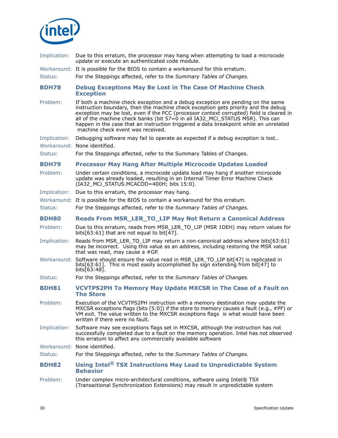

<span id="page-29-4"></span><span id="page-29-3"></span><span id="page-29-2"></span><span id="page-29-1"></span><span id="page-29-0"></span>

| Implication: | Due to this erratum, the processor may hang when attempting to load a microcode<br>update or execute an authenticated code module.                                                                                                                                                                                                                                                                                                                                                |
|--------------|-----------------------------------------------------------------------------------------------------------------------------------------------------------------------------------------------------------------------------------------------------------------------------------------------------------------------------------------------------------------------------------------------------------------------------------------------------------------------------------|
|              | Workaround: It is possible for the BIOS to contain a workaround for this erratum.                                                                                                                                                                                                                                                                                                                                                                                                 |
| Status:      | For the Steppings affected, refer to the Summary Tables of Changes.                                                                                                                                                                                                                                                                                                                                                                                                               |
| <b>BDH78</b> | <b>Debug Exceptions May Be Lost in The Case Of Machine Check</b><br><b>Exception</b>                                                                                                                                                                                                                                                                                                                                                                                              |
| Problem:     | If both a machine check exception and a debug exception are pending on the same<br>instruction boundary, then the machine check exception gets priority and the debug<br>exception may be lost, even if the PCC (processor context corrupted) field is cleared in<br>all of the machine check banks (bit 57=0 in all IA32_MCi_STATUS MSR). This can<br>happen in the case that an instruction triggered a data breakpoint while an unrelated<br>machine check event was received. |
| Implication: | Debugging software may fail to operate as expected if a debug exception is lost                                                                                                                                                                                                                                                                                                                                                                                                   |
|              | Workaround: None identified.                                                                                                                                                                                                                                                                                                                                                                                                                                                      |
| Status:      | For the Steppings affected, refer to the Summary Tables of Changes.                                                                                                                                                                                                                                                                                                                                                                                                               |
| <b>BDH79</b> | <b>Processor May Hang After Multiple Microcode Updates Loaded</b>                                                                                                                                                                                                                                                                                                                                                                                                                 |
| Problem:     | Under certain conditions, a microcode update load may hang if another microcode<br>update was already loaded, resulting in an Internal Timer Error Machine Check<br>(IA32 MCi STATUS.MCACOD=400H; bits 15:0).                                                                                                                                                                                                                                                                     |
| Implication: | Due to this erratum, the processor may hang.                                                                                                                                                                                                                                                                                                                                                                                                                                      |
|              | Workaround: It is possible for the BIOS to contain a workaround for this erratum.                                                                                                                                                                                                                                                                                                                                                                                                 |
| Status:      | For the Steppings affected, refer to the Summary Tables of Changes.                                                                                                                                                                                                                                                                                                                                                                                                               |
| <b>BDH80</b> | <b>Reads From MSR_LER_TO_LIP May Not Return a Canonical Address</b>                                                                                                                                                                                                                                                                                                                                                                                                               |
| Problem:     | Due to this erratum, reads from MSR_LER_TO_LIP (MSR 1DEH) may return values for<br>bits[63:61] that are not equal to bit[47].                                                                                                                                                                                                                                                                                                                                                     |
| Implication: | Reads from MSR_LER_TO_LIP may return a non-canonical address where bits[63:61]<br>may be incorrect. Using this value as an address, including restoring the MSR value<br>that was read, may cause a #GP.                                                                                                                                                                                                                                                                          |
| Workaround:  | Software should ensure the value read in MSR_LER_TO_LIP bit[47] is replicated in<br>bits[63:61]. This is most easily accomplished by sign extending from bit[47] to<br>bits $[63:48]$ .                                                                                                                                                                                                                                                                                           |
| Status:      | For the Steppings affected, refer to the Summary Tables of Changes.                                                                                                                                                                                                                                                                                                                                                                                                               |
| <b>BDH81</b> | <b>VCVTPS2PH To Memory May Update MXCSR in The Case of a Fault on</b><br><b>The Store</b>                                                                                                                                                                                                                                                                                                                                                                                         |
| Problem:     | Execution of the VCVTPS2PH instruction with a memory destination may update the<br>MXCSR exceptions flags (bits [5:0]) if the store to memory causes a fault (e.g., #PF) or<br>VM exit. The value written to the MXCSR exceptions flags is what would have been<br>written if there were no fault.                                                                                                                                                                                |
| Implication: | Software may see exceptions flags set in MXCSR, although the instruction has not<br>successfully completed due to a fault on the memory operation. Intel has not observed<br>this erratum to affect any commercially available software                                                                                                                                                                                                                                           |
|              | Workaround: None identified.                                                                                                                                                                                                                                                                                                                                                                                                                                                      |
| Status:      | For the Steppings affected, refer to the Summary Tables of Changes.                                                                                                                                                                                                                                                                                                                                                                                                               |
| <b>BDH82</b> | Using Intel <sup>®</sup> TSX Instructions May Lead to Unpredictable System<br><b>Behavior</b>                                                                                                                                                                                                                                                                                                                                                                                     |
| Problem:     | Under complex micro-architectural conditions, software using Intel® TSX<br>(Transactional Synchronization Extensions) may result in unpredictable system                                                                                                                                                                                                                                                                                                                          |
|              |                                                                                                                                                                                                                                                                                                                                                                                                                                                                                   |
| 30           | Specification Update                                                                                                                                                                                                                                                                                                                                                                                                                                                              |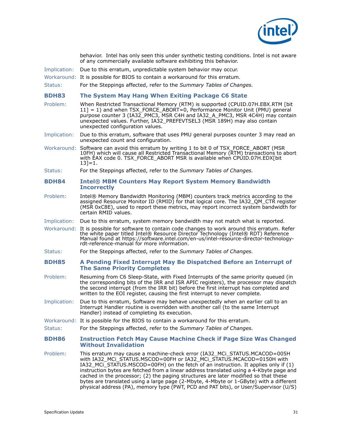

<span id="page-30-3"></span><span id="page-30-2"></span><span id="page-30-1"></span><span id="page-30-0"></span>

|              | behavior. Intel has only seen this under synthetic testing conditions. Intel is not aware<br>of any commercially available software exhibiting this behavior.                                                                                                                                                                                                                                                                                                                                                                                                                                               |
|--------------|-------------------------------------------------------------------------------------------------------------------------------------------------------------------------------------------------------------------------------------------------------------------------------------------------------------------------------------------------------------------------------------------------------------------------------------------------------------------------------------------------------------------------------------------------------------------------------------------------------------|
| Implication: | Due to this erratum, unpredictable system behavior may occur.                                                                                                                                                                                                                                                                                                                                                                                                                                                                                                                                               |
|              | Workaround: It is possible for BIOS to contain a workaround for this erratum.                                                                                                                                                                                                                                                                                                                                                                                                                                                                                                                               |
| Status:      | For the Steppings affected, refer to the Summary Tables of Changes.                                                                                                                                                                                                                                                                                                                                                                                                                                                                                                                                         |
| <b>BDH83</b> | The System May Hang When Exiting Package C6 State                                                                                                                                                                                                                                                                                                                                                                                                                                                                                                                                                           |
| Problem:     | When Restricted Transactional Memory (RTM) is supported (CPUID.07H.EBX.RTM [bit<br>11] = 1) and when TSX_FORCE_ABORT=0, Performance Monitor Unit (PMU) general<br>purpose counter 3 (IA32_PMC3, MSR C4H and IA32_A_PMC3, MSR 4C4H) may contain<br>unexpected values. Further, IA32 PREFEVTSEL3 (MSR 189H) may also contain<br>unexpected configuration values.                                                                                                                                                                                                                                              |
| Implication: | Due to this erratum, software that uses PMU general purposes counter 3 may read an<br>unexpected count and configuration.                                                                                                                                                                                                                                                                                                                                                                                                                                                                                   |
|              | Workaround: Software can avoid this erratum by writing 1 to bit 0 of TSX_FORCE_ABORT (MSR<br>10FH) which will cause all Restricted Transactional Memory (RTM) transactions to abort<br>with EAX code 0. TSX_FORCE_ABORT MSR is available when CPUID.07H.EDX[bit<br>$13 = 1.$                                                                                                                                                                                                                                                                                                                                |
| Status:      | For the Steppings affected, refer to the Summary Tables of Changes.                                                                                                                                                                                                                                                                                                                                                                                                                                                                                                                                         |
| <b>BDH84</b> | <b>Intel® MBM Counters May Report System Memory Bandwidth</b><br><b>Incorrectly</b>                                                                                                                                                                                                                                                                                                                                                                                                                                                                                                                         |
| Problem:     | Intel® Memory Bandwidth Monitoring (MBM) counters track metrics according to the<br>assigned Resource Monitor ID (RMID) for that logical core. The IA32 QM CTR register<br>(MSR 0xC8E), used to report these metrics, may report incorrect system bandwidth for<br>certain RMID values.                                                                                                                                                                                                                                                                                                                     |
| Implication: | Due to this erratum, system memory bandwidth may not match what is reported.                                                                                                                                                                                                                                                                                                                                                                                                                                                                                                                                |
|              | Workaround: It is possible for software to contain code changes to work around this erratum. Refer<br>the white paper titled Intel® Resource Director Technology (Intel® RDT) Reference<br>Manual found at https://software.intel.com/en-us/intel-resource-director-technology-<br>rdt-reference-manual for more information.                                                                                                                                                                                                                                                                               |
| Status:      | For the Steppings affected, refer to the Summary Tables of Changes.                                                                                                                                                                                                                                                                                                                                                                                                                                                                                                                                         |
| <b>BDH85</b> | A Pending Fixed Interrupt May Be Dispatched Before an Interrupt of<br><b>The Same Priority Completes</b>                                                                                                                                                                                                                                                                                                                                                                                                                                                                                                    |
| Problem:     | Resuming from C6 Sleep-State, with Fixed Interrupts of the same priority queued (in<br>the corresponding bits of the IRR and ISR APIC registers), the processor may dispatch<br>the second interrupt (from the IRR bit) before the first interrupt has completed and<br>written to the EOI register, causing the first interrupt to never complete.                                                                                                                                                                                                                                                         |
| Implication: | Due to this erratum, Software may behave unexpectedly when an earlier call to an<br>Interrupt Handler routine is overridden with another call (to the same Interrupt<br>Handler) instead of completing its execution.                                                                                                                                                                                                                                                                                                                                                                                       |
|              | Workaround: It is possible for the BIOS to contain a workaround for this erratum.                                                                                                                                                                                                                                                                                                                                                                                                                                                                                                                           |
| Status:      | For the Steppings affected, refer to the Summary Tables of Changes.                                                                                                                                                                                                                                                                                                                                                                                                                                                                                                                                         |
| <b>BDH86</b> | <b>Instruction Fetch May Cause Machine Check if Page Size Was Changed</b><br><b>Without Invalidation</b>                                                                                                                                                                                                                                                                                                                                                                                                                                                                                                    |
| Problem:     | This erratum may cause a machine-check error (IA32_MCi_STATUS.MCACOD=005H<br>with IA32_MCi_STATUS.MSCOD=00FH or IA32_MCi_STATUS.MCACOD=0150H with<br>IA32 MCi STATUS.MSCOD=00FH) on the fetch of an instruction. It applies only if (1)<br>instruction bytes are fetched from a linear address translated using a 4-Kbyte page and<br>cached in the processor; (2) the paging structures are later modified so that these<br>bytes are translated using a large page (2-Mbyte, 4-Mbyte or 1-GByte) with a different<br>physical address (PA), memory type (PWT, PCD and PAT bits), or User/Supervisor (U/S) |